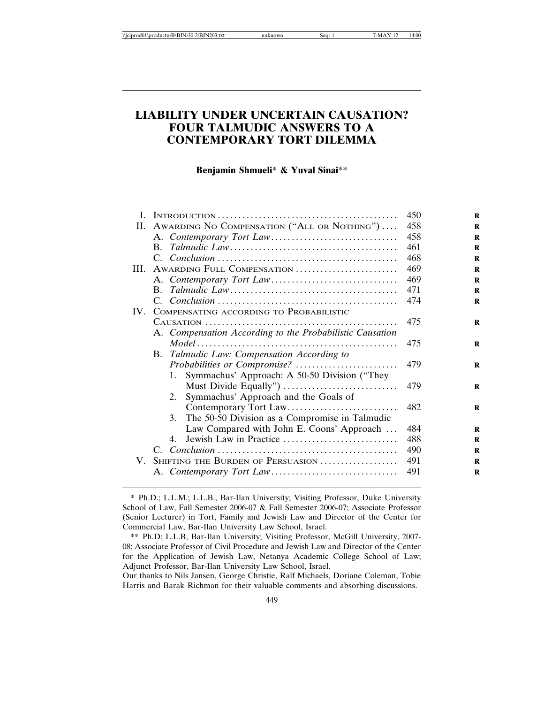# **LIABILITY UNDER UNCERTAIN CAUSATION? FOUR TALMUDIC ANSWERS TO A CONTEMPORARY TORT DILEMMA**

**Benjamin Shmueli**\* **& Yuval Sinai**\*\*

|                                                          | 450                                                                                             |
|----------------------------------------------------------|-------------------------------------------------------------------------------------------------|
|                                                          | 458                                                                                             |
|                                                          | 458                                                                                             |
|                                                          | 461                                                                                             |
|                                                          | 468                                                                                             |
|                                                          | 469                                                                                             |
|                                                          | 469                                                                                             |
|                                                          | 471                                                                                             |
|                                                          | 474                                                                                             |
| COMPENSATING ACCORDING TO PROBABILISTIC                  |                                                                                                 |
|                                                          | 475                                                                                             |
| A. Compensation According to the Probabilistic Causation |                                                                                                 |
|                                                          | 475                                                                                             |
| B. Talmudic Law: Compensation According to               |                                                                                                 |
|                                                          | 479                                                                                             |
| Symmachus' Approach: A 50-50 Division ("They<br>1.       |                                                                                                 |
|                                                          | 479                                                                                             |
| Symmachus' Approach and the Goals of<br>2.               |                                                                                                 |
|                                                          | 482                                                                                             |
| 3. The 50-50 Division as a Compromise in Talmudic        |                                                                                                 |
| Law Compared with John E. Coons' Approach                | 484                                                                                             |
| Jewish Law in Practice<br>4.                             | 488                                                                                             |
|                                                          | 490                                                                                             |
| SHIFTING THE BURDEN OF PERSUASION                        | 491                                                                                             |
|                                                          | 491                                                                                             |
|                                                          | II. AWARDING NO COMPENSATION ("ALL OR NOTHING")<br>III. AWARDING FULL COMPENSATION<br>IV.<br>V. |

<sup>\*</sup> Ph.D.; L.L.M.; L.L.B., Bar-Ilan University; Visiting Professor, Duke University School of Law, Fall Semester 2006-07 & Fall Semester 2006-07; Associate Professor (Senior Lecturer) in Tort, Family and Jewish Law and Director of the Center for Commercial Law, Bar-Ilan University Law School, Israel.

<sup>\*\*</sup> Ph.D; L.L.B, Bar-Ilan University; Visiting Professor, McGill University, 2007- 08; Associate Professor of Civil Procedure and Jewish Law and Director of the Center for the Application of Jewish Law, Netanya Academic College School of Law; Adjunct Professor, Bar-Ilan University Law School, Israel.

Our thanks to Nils Jansen, George Christie, Ralf Michaels, Doriane Coleman, Tobie Harris and Barak Richman for their valuable comments and absorbing discussions.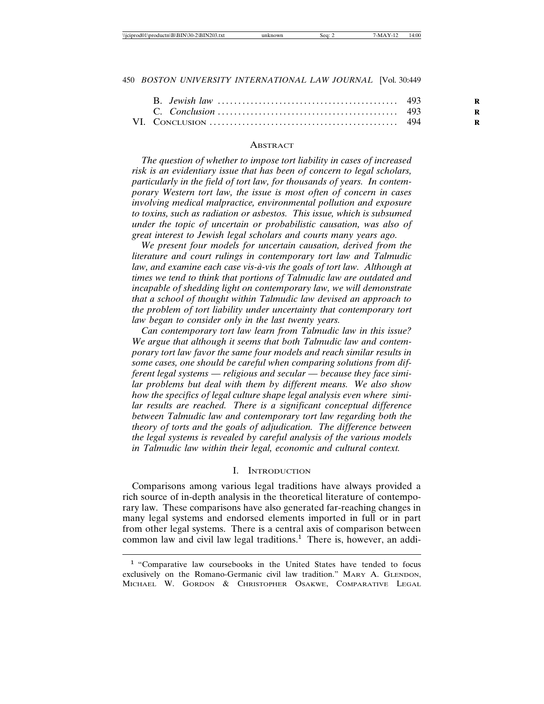#### **ABSTRACT**

*The question of whether to impose tort liability in cases of increased risk is an evidentiary issue that has been of concern to legal scholars, particularly in the field of tort law, for thousands of years. In contemporary Western tort law, the issue is most often of concern in cases involving medical malpractice, environmental pollution and exposure to toxins, such as radiation or asbestos. This issue, which is subsumed under the topic of uncertain or probabilistic causation, was also of great interest to Jewish legal scholars and courts many years ago.*

*We present four models for uncertain causation, derived from the literature and court rulings in contemporary tort law and Talmudic* law, and examine each case vis-à-vis the goals of tort law. Although at *times we tend to think that portions of Talmudic law are outdated and incapable of shedding light on contemporary law, we will demonstrate that a school of thought within Talmudic law devised an approach to the problem of tort liability under uncertainty that contemporary tort law began to consider only in the last twenty years.*

*Can contemporary tort law learn from Talmudic law in this issue? We argue that although it seems that both Talmudic law and contemporary tort law favor the same four models and reach similar results in some cases, one should be careful when comparing solutions from different legal systems — religious and secular — because they face similar problems but deal with them by different means. We also show how the specifics of legal culture shape legal analysis even where similar results are reached. There is a significant conceptual difference between Talmudic law and contemporary tort law regarding both the theory of torts and the goals of adjudication. The difference between the legal systems is revealed by careful analysis of the various models in Talmudic law within their legal, economic and cultural context.*

### I. INTRODUCTION

Comparisons among various legal traditions have always provided a rich source of in-depth analysis in the theoretical literature of contemporary law. These comparisons have also generated far-reaching changes in many legal systems and endorsed elements imported in full or in part from other legal systems. There is a central axis of comparison between common law and civil law legal traditions.<sup>1</sup> There is, however, an addi-

<sup>1</sup> "Comparative law coursebooks in the United States have tended to focus exclusively on the Romano-Germanic civil law tradition." MARY A. GLENDON, MICHAEL W. GORDON & CHRISTOPHER OSAKWE, COMPARATIVE LEGAL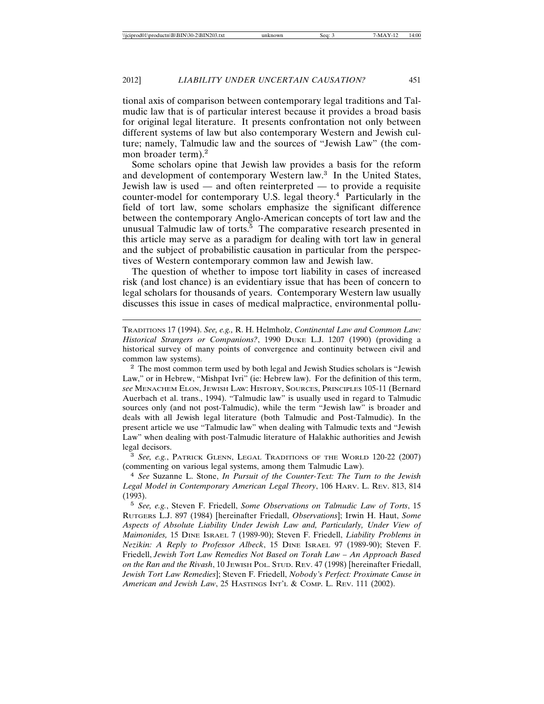tional axis of comparison between contemporary legal traditions and Talmudic law that is of particular interest because it provides a broad basis for original legal literature. It presents confrontation not only between different systems of law but also contemporary Western and Jewish culture; namely, Talmudic law and the sources of "Jewish Law" (the common broader term).<sup>2</sup>

Some scholars opine that Jewish law provides a basis for the reform and development of contemporary Western law.<sup>3</sup> In the United States, Jewish law is used — and often reinterpreted — to provide a requisite counter-model for contemporary U.S. legal theory.<sup>4</sup> Particularly in the field of tort law, some scholars emphasize the significant difference between the contemporary Anglo-American concepts of tort law and the unusual Talmudic law of torts.<sup>5</sup> The comparative research presented in this article may serve as a paradigm for dealing with tort law in general and the subject of probabilistic causation in particular from the perspectives of Western contemporary common law and Jewish law.

The question of whether to impose tort liability in cases of increased risk (and lost chance) is an evidentiary issue that has been of concern to legal scholars for thousands of years. Contemporary Western law usually discusses this issue in cases of medical malpractice, environmental pollu-

TRADITIONS 17 (1994). *See, e.g.,* R. H. Helmholz, *Continental Law and Common Law: Historical Strangers or Companions?*, 1990 DUKE L.J. 1207 (1990) (providing a historical survey of many points of convergence and continuity between civil and common law systems).

<sup>2</sup> The most common term used by both legal and Jewish Studies scholars is "Jewish Law," or in Hebrew, "Mishpat Ivri" (ie: Hebrew law). For the definition of this term, *see* MENACHEM ELON, JEWISH LAW: HISTORY, SOURCES, PRINCIPLES 105-11 (Bernard Auerbach et al. trans., 1994). "Talmudic law" is usually used in regard to Talmudic sources only (and not post-Talmudic), while the term "Jewish law" is broader and deals with all Jewish legal literature (both Talmudic and Post-Talmudic). In the present article we use "Talmudic law" when dealing with Talmudic texts and "Jewish Law" when dealing with post-Talmudic literature of Halakhic authorities and Jewish legal decisors.

<sup>3</sup> *See, e.g.*, PATRICK GLENN, LEGAL TRADITIONS OF THE WORLD 120-22 (2007) (commenting on various legal systems, among them Talmudic Law).

<sup>4</sup> *See* Suzanne L. Stone, *In Pursuit of the Counter-Text: The Turn to the Jewish Legal Model in Contemporary American Legal Theory*, 106 HARV. L. REV. 813, 814 (1993).

<sup>5</sup> *See, e.g.*, Steven F. Friedell, *Some Observations on Talmudic Law of Torts*, 15 RUTGERS L.J. 897 (1984) [hereinafter Friedall, *Observations*]; Irwin H. Haut, *Some Aspects of Absolute Liability Under Jewish Law and, Particularly, Under View of Maimonides,* 15 DINE ISRAEL 7 (1989-90); Steven F. Friedell, *Liability Problems in Nezikin: A Reply to Professor Albeck*, 15 DINE ISRAEL 97 (1989-90); Steven F. Friedell, *Jewish Tort Law Remedies Not Based on Torah Law – An Approach Based on the Ran and the Rivash*, 10 JEWISH POL. STUD. REV. 47 (1998) [hereinafter Friedall, *Jewish Tort Law Remedies*]; Steven F. Friedell, *Nobody's Perfect: Proximate Cause in American and Jewish Law*, 25 HASTINGS INT'L & COMP. L. REV. 111 (2002).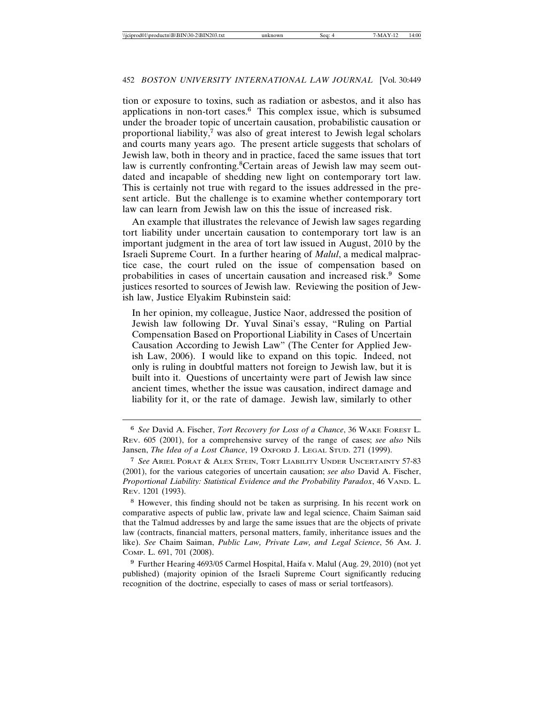tion or exposure to toxins, such as radiation or asbestos, and it also has applications in non-tort cases.<sup>6</sup> This complex issue, which is subsumed under the broader topic of uncertain causation, probabilistic causation or proportional liability,<sup>7</sup> was also of great interest to Jewish legal scholars and courts many years ago. The present article suggests that scholars of Jewish law, both in theory and in practice, faced the same issues that tort law is currently confronting.<sup>8</sup>Certain areas of Jewish law may seem outdated and incapable of shedding new light on contemporary tort law. This is certainly not true with regard to the issues addressed in the present article. But the challenge is to examine whether contemporary tort law can learn from Jewish law on this the issue of increased risk.

An example that illustrates the relevance of Jewish law sages regarding tort liability under uncertain causation to contemporary tort law is an important judgment in the area of tort law issued in August, 2010 by the Israeli Supreme Court. In a further hearing of *Malul*, a medical malpractice case, the court ruled on the issue of compensation based on probabilities in cases of uncertain causation and increased risk.<sup>9</sup> Some justices resorted to sources of Jewish law. Reviewing the position of Jewish law, Justice Elyakim Rubinstein said:

In her opinion, my colleague, Justice Naor, addressed the position of Jewish law following Dr. Yuval Sinai's essay, "Ruling on Partial Compensation Based on Proportional Liability in Cases of Uncertain Causation According to Jewish Law" (The Center for Applied Jewish Law, 2006). I would like to expand on this topic. Indeed, not only is ruling in doubtful matters not foreign to Jewish law, but it is built into it. Questions of uncertainty were part of Jewish law since ancient times, whether the issue was causation, indirect damage and liability for it, or the rate of damage. Jewish law, similarly to other

<sup>9</sup> Further Hearing 4693/05 Carmel Hospital, Haifa v. Malul (Aug. 29, 2010) (not yet published) (majority opinion of the Israeli Supreme Court significantly reducing recognition of the doctrine, especially to cases of mass or serial tortfeasors).

<sup>6</sup> *See* David A. Fischer, *Tort Recovery for Loss of a Chance*, 36 WAKE FOREST L. REV. 605 (2001), for a comprehensive survey of the range of cases; *see also* Nils Jansen, *The Idea of a Lost Chance*, 19 OxFORD J. LEGAL STUD. 271 (1999).

<sup>7</sup> *See* ARIEL PORAT & ALEX STEIN, TORT LIABILITY UNDER UNCERTAINTY 57-83 (2001), for the various categories of uncertain causation; *see also* David A. Fischer, *Proportional Liability: Statistical Evidence and the Probability Paradox*, 46 VAND. L. REV. 1201 (1993).

<sup>8</sup> However, this finding should not be taken as surprising. In his recent work on comparative aspects of public law, private law and legal science, Chaim Saiman said that the Talmud addresses by and large the same issues that are the objects of private law (contracts, financial matters, personal matters, family, inheritance issues and the like). *See* Chaim Saiman, *Public Law, Private Law, and Legal Science*, 56 AM. J. COMP. L. 691, 701 (2008).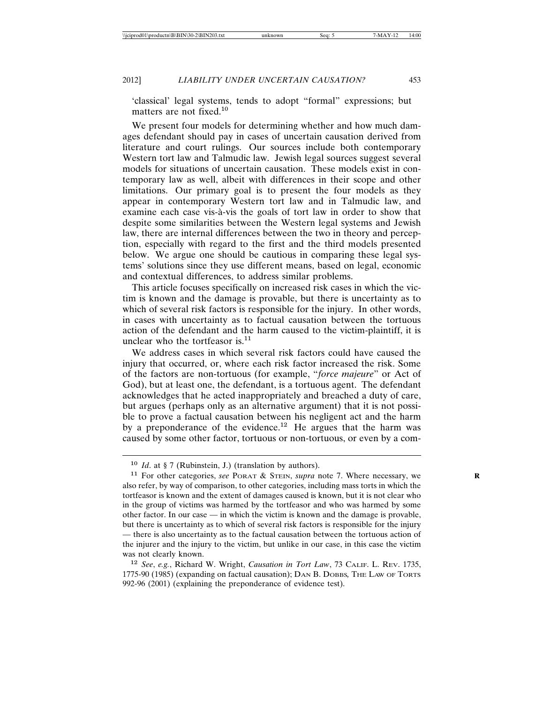'classical' legal systems, tends to adopt "formal" expressions; but matters are not fixed.<sup>10</sup>

We present four models for determining whether and how much damages defendant should pay in cases of uncertain causation derived from literature and court rulings. Our sources include both contemporary Western tort law and Talmudic law. Jewish legal sources suggest several models for situations of uncertain causation. These models exist in contemporary law as well, albeit with differences in their scope and other limitations. Our primary goal is to present the four models as they appear in contemporary Western tort law and in Talmudic law, and examine each case vis-à-vis the goals of tort law in order to show that despite some similarities between the Western legal systems and Jewish law, there are internal differences between the two in theory and perception, especially with regard to the first and the third models presented below. We argue one should be cautious in comparing these legal systems' solutions since they use different means, based on legal, economic and contextual differences, to address similar problems.

This article focuses specifically on increased risk cases in which the victim is known and the damage is provable, but there is uncertainty as to which of several risk factors is responsible for the injury. In other words, in cases with uncertainty as to factual causation between the tortuous action of the defendant and the harm caused to the victim-plaintiff, it is unclear who the tortfeasor is.<sup>11</sup>

We address cases in which several risk factors could have caused the injury that occurred, or, where each risk factor increased the risk. Some of the factors are non-tortuous (for example, "*force majeure*" or Act of God), but at least one, the defendant, is a tortuous agent. The defendant acknowledges that he acted inappropriately and breached a duty of care, but argues (perhaps only as an alternative argument) that it is not possible to prove a factual causation between his negligent act and the harm by a preponderance of the evidence.<sup>12</sup> He argues that the harm was caused by some other factor, tortuous or non-tortuous, or even by a com-

<sup>10</sup> *Id*. at § 7 (Rubinstein, J.) (translation by authors).

<sup>11</sup> For other categories, *see* PORAT & STEIN, *supra* note 7. Where necessary, we **R** also refer, by way of comparison, to other categories, including mass torts in which the tortfeasor is known and the extent of damages caused is known, but it is not clear who in the group of victims was harmed by the tortfeasor and who was harmed by some other factor. In our case — in which the victim is known and the damage is provable, but there is uncertainty as to which of several risk factors is responsible for the injury — there is also uncertainty as to the factual causation between the tortuous action of the injurer and the injury to the victim, but unlike in our case, in this case the victim was not clearly known.

<sup>12</sup> *See*, *e.g.*, Richard W. Wright, *Causation in Tort Law*, 73 CALIF. L. REV. 1735, 1775-90 (1985) (expanding on factual causation); DAN B. DOBBS*,* THE LAW OF TORTS 992-96 (2001) (explaining the preponderance of evidence test).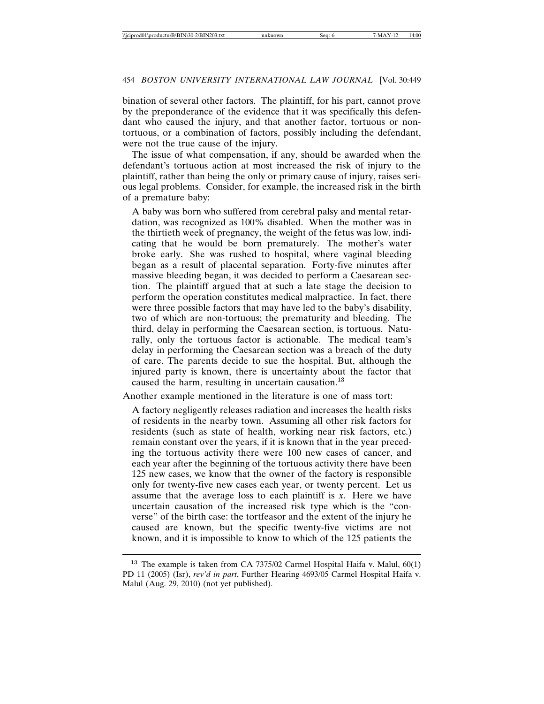bination of several other factors. The plaintiff, for his part, cannot prove by the preponderance of the evidence that it was specifically this defendant who caused the injury, and that another factor, tortuous or nontortuous, or a combination of factors, possibly including the defendant, were not the true cause of the injury.

The issue of what compensation, if any, should be awarded when the defendant's tortuous action at most increased the risk of injury to the plaintiff, rather than being the only or primary cause of injury, raises serious legal problems. Consider, for example, the increased risk in the birth of a premature baby:

A baby was born who suffered from cerebral palsy and mental retardation, was recognized as 100% disabled. When the mother was in the thirtieth week of pregnancy, the weight of the fetus was low, indicating that he would be born prematurely. The mother's water broke early. She was rushed to hospital, where vaginal bleeding began as a result of placental separation. Forty-five minutes after massive bleeding began, it was decided to perform a Caesarean section. The plaintiff argued that at such a late stage the decision to perform the operation constitutes medical malpractice. In fact, there were three possible factors that may have led to the baby's disability, two of which are non-tortuous; the prematurity and bleeding. The third, delay in performing the Caesarean section, is tortuous. Naturally, only the tortuous factor is actionable. The medical team's delay in performing the Caesarean section was a breach of the duty of care. The parents decide to sue the hospital. But, although the injured party is known, there is uncertainty about the factor that caused the harm, resulting in uncertain causation.<sup>13</sup>

Another example mentioned in the literature is one of mass tort:

A factory negligently releases radiation and increases the health risks of residents in the nearby town. Assuming all other risk factors for residents (such as state of health, working near risk factors, etc.) remain constant over the years, if it is known that in the year preceding the tortuous activity there were 100 new cases of cancer, and each year after the beginning of the tortuous activity there have been 125 new cases, we know that the owner of the factory is responsible only for twenty-five new cases each year, or twenty percent. Let us assume that the average loss to each plaintiff is *x*. Here we have uncertain causation of the increased risk type which is the "converse" of the birth case: the tortfeasor and the extent of the injury he caused are known, but the specific twenty-five victims are not known, and it is impossible to know to which of the 125 patients the

<sup>13</sup> The example is taken from CA 7375/02 Carmel Hospital Haifa v. Malul, 60(1) PD 11 (2005) (Isr), *rev'd in part*, Further Hearing 4693/05 Carmel Hospital Haifa v. Malul (Aug. 29, 2010) (not yet published).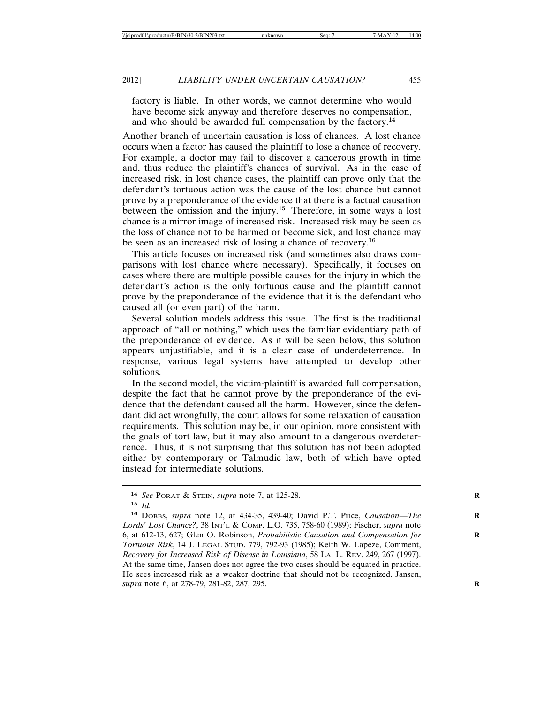factory is liable. In other words, we cannot determine who would have become sick anyway and therefore deserves no compensation, and who should be awarded full compensation by the factory.<sup>14</sup>

Another branch of uncertain causation is loss of chances. A lost chance occurs when a factor has caused the plaintiff to lose a chance of recovery. For example, a doctor may fail to discover a cancerous growth in time and, thus reduce the plaintiff's chances of survival. As in the case of increased risk, in lost chance cases, the plaintiff can prove only that the defendant's tortuous action was the cause of the lost chance but cannot prove by a preponderance of the evidence that there is a factual causation between the omission and the injury.<sup>15</sup> Therefore, in some ways a lost chance is a mirror image of increased risk. Increased risk may be seen as the loss of chance not to be harmed or become sick, and lost chance may be seen as an increased risk of losing a chance of recovery.<sup>16</sup>

This article focuses on increased risk (and sometimes also draws comparisons with lost chance where necessary). Specifically, it focuses on cases where there are multiple possible causes for the injury in which the defendant's action is the only tortuous cause and the plaintiff cannot prove by the preponderance of the evidence that it is the defendant who caused all (or even part) of the harm.

Several solution models address this issue. The first is the traditional approach of "all or nothing," which uses the familiar evidentiary path of the preponderance of evidence. As it will be seen below, this solution appears unjustifiable, and it is a clear case of underdeterrence. In response, various legal systems have attempted to develop other solutions.

In the second model, the victim-plaintiff is awarded full compensation, despite the fact that he cannot prove by the preponderance of the evidence that the defendant caused all the harm. However, since the defendant did act wrongfully, the court allows for some relaxation of causation requirements. This solution may be, in our opinion, more consistent with the goals of tort law, but it may also amount to a dangerous overdeterrence. Thus, it is not surprising that this solution has not been adopted either by contemporary or Talmudic law, both of which have opted instead for intermediate solutions.

<sup>14</sup> *See* PORAT & STEIN, *supra* note 7, at 125-28. **R**

<sup>15</sup> *Id.*

<sup>&</sup>lt;sup>16</sup> DOBBS, *supra* note 12, at 434-35, 439-40; David P.T. Price, *Causation-The Lords' Lost Chance?*, 38 INT'L & COMP. L.Q. 735, 758-60 (1989); Fischer, *supra* note 6, at 612-13, 627; Glen O. Robinson, *Probabilistic Causation and Compensation for* **R** *Tortuous Risk*, 14 J. LEGAL STUD. 779, 792-93 (1985); Keith W. Lapeze, Comment, *Recovery for Increased Risk of Disease in Louisiana*, 58 LA. L. REV. 249, 267 (1997). At the same time, Jansen does not agree the two cases should be equated in practice. He sees increased risk as a weaker doctrine that should not be recognized. Jansen, *supra* note 6, at 278-79, 281-82, 287, 295. **R**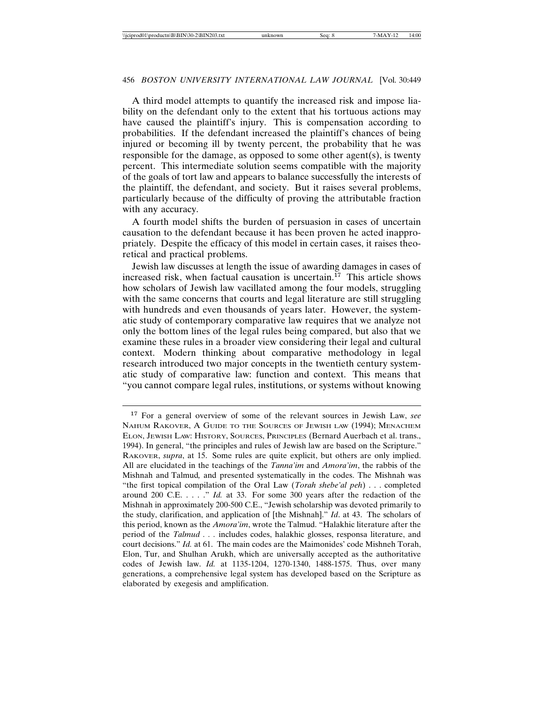A third model attempts to quantify the increased risk and impose liability on the defendant only to the extent that his tortuous actions may have caused the plaintiff's injury. This is compensation according to probabilities. If the defendant increased the plaintiff's chances of being injured or becoming ill by twenty percent, the probability that he was responsible for the damage, as opposed to some other agent(s), is twenty percent. This intermediate solution seems compatible with the majority of the goals of tort law and appears to balance successfully the interests of the plaintiff, the defendant, and society. But it raises several problems, particularly because of the difficulty of proving the attributable fraction with any accuracy.

A fourth model shifts the burden of persuasion in cases of uncertain causation to the defendant because it has been proven he acted inappropriately. Despite the efficacy of this model in certain cases, it raises theoretical and practical problems.

Jewish law discusses at length the issue of awarding damages in cases of increased risk, when factual causation is uncertain.<sup>17</sup> This article shows how scholars of Jewish law vacillated among the four models, struggling with the same concerns that courts and legal literature are still struggling with hundreds and even thousands of years later. However, the systematic study of contemporary comparative law requires that we analyze not only the bottom lines of the legal rules being compared, but also that we examine these rules in a broader view considering their legal and cultural context. Modern thinking about comparative methodology in legal research introduced two major concepts in the twentieth century systematic study of comparative law: function and context. This means that "you cannot compare legal rules, institutions, or systems without knowing

<sup>17</sup> For a general overview of some of the relevant sources in Jewish Law, *see* NAHUM RAKOVER, A GUIDE TO THE SOURCES OF JEWISH LAW (1994); MENACHEM ELON, JEWISH LAW: HISTORY, SOURCES, PRINCIPLES (Bernard Auerbach et al. trans., 1994). In general, "the principles and rules of Jewish law are based on the Scripture." RAKOVER, *supra*, at 15. Some rules are quite explicit, but others are only implied. All are elucidated in the teachings of the *Tanna'im* and *Amora'im*, the rabbis of the Mishnah and Talmud*,* and presented systematically in the codes. The Mishnah was "the first topical compilation of the Oral Law (*Torah shebe'al peh*) . . . completed around 200 C.E. . . . ." *Id.* at 33. For some 300 years after the redaction of the Mishnah in approximately 200-500 C.E., "Jewish scholarship was devoted primarily to the study, clarification, and application of [the Mishnah]." *Id*. at 43. The scholars of this period, known as the *Amora'im*, wrote the Talmud. "Halakhic literature after the period of the *Talmud . . .* includes codes, halakhic glosses, responsa literature, and court decisions." *Id.* at 61. The main codes are the Maimonides' code Mishneh Torah, Elon, Tur, and Shulhan Arukh, which are universally accepted as the authoritative codes of Jewish law. *Id.* at 1135-1204, 1270-1340, 1488-1575. Thus, over many generations, a comprehensive legal system has developed based on the Scripture as elaborated by exegesis and amplification.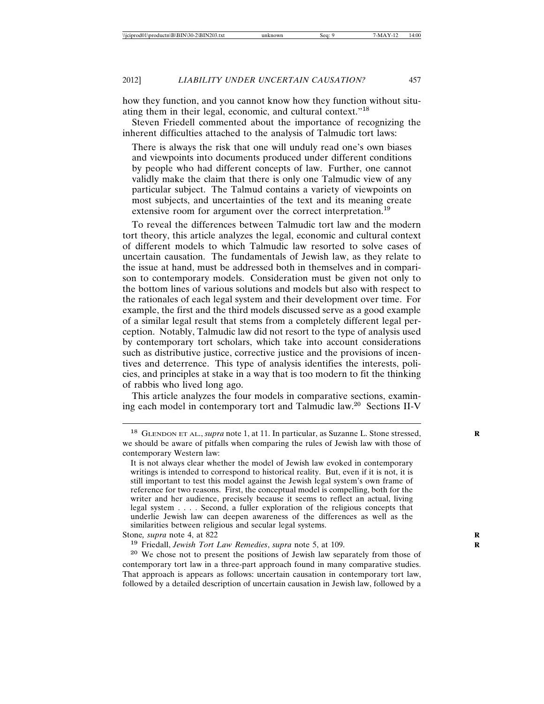how they function, and you cannot know how they function without situating them in their legal, economic, and cultural context."<sup>18</sup>

Steven Friedell commented about the importance of recognizing the inherent difficulties attached to the analysis of Talmudic tort laws:

There is always the risk that one will unduly read one's own biases and viewpoints into documents produced under different conditions by people who had different concepts of law. Further, one cannot validly make the claim that there is only one Talmudic view of any particular subject. The Talmud contains a variety of viewpoints on most subjects, and uncertainties of the text and its meaning create extensive room for argument over the correct interpretation.<sup>19</sup>

To reveal the differences between Talmudic tort law and the modern tort theory, this article analyzes the legal, economic and cultural context of different models to which Talmudic law resorted to solve cases of uncertain causation. The fundamentals of Jewish law, as they relate to the issue at hand, must be addressed both in themselves and in comparison to contemporary models. Consideration must be given not only to the bottom lines of various solutions and models but also with respect to the rationales of each legal system and their development over time. For example, the first and the third models discussed serve as a good example of a similar legal result that stems from a completely different legal perception. Notably, Talmudic law did not resort to the type of analysis used by contemporary tort scholars, which take into account considerations such as distributive justice, corrective justice and the provisions of incentives and deterrence. This type of analysis identifies the interests, policies, and principles at stake in a way that is too modern to fit the thinking of rabbis who lived long ago.

This article analyzes the four models in comparative sections, examining each model in contemporary tort and Talmudic law.<sup>20</sup> Sections II-V

<sup>&</sup>lt;sup>18</sup> GLENDON ET AL., *supra* note 1, at 11. In particular, as Suzanne L. Stone stressed, we should be aware of pitfalls when comparing the rules of Jewish law with those of contemporary Western law:

It is not always clear whether the model of Jewish law evoked in contemporary writings is intended to correspond to historical reality. But, even if it is not, it is still important to test this model against the Jewish legal system's own frame of reference for two reasons. First, the conceptual model is compelling, both for the writer and her audience, precisely because it seems to reflect an actual, living legal system . . . . Second, a fuller exploration of the religious concepts that underlie Jewish law can deepen awareness of the differences as well as the similarities between religious and secular legal systems.

Stone, *supra* note 4, at 822

<sup>19</sup> Friedall, *Jewish Tort Law Remedies*, *supra* note 5, at 109. **R**

<sup>20</sup> We chose not to present the positions of Jewish law separately from those of contemporary tort law in a three-part approach found in many comparative studies. That approach is appears as follows: uncertain causation in contemporary tort law, followed by a detailed description of uncertain causation in Jewish law, followed by a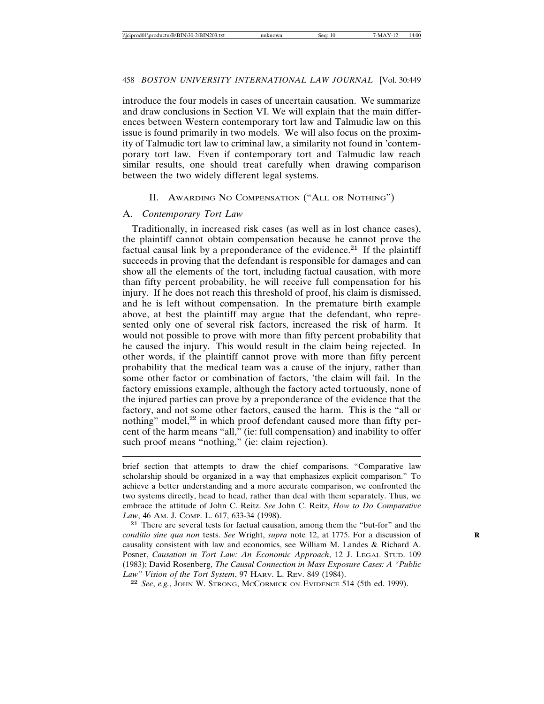introduce the four models in cases of uncertain causation. We summarize and draw conclusions in Section VI. We will explain that the main differences between Western contemporary tort law and Talmudic law on this issue is found primarily in two models. We will also focus on the proximity of Talmudic tort law to criminal law, a similarity not found in 'contemporary tort law. Even if contemporary tort and Talmudic law reach similar results, one should treat carefully when drawing comparison between the two widely different legal systems.

### II. AWARDING NO COMPENSATION ("ALL OR NOTHING")

### A. *Contemporary Tort Law*

Traditionally, in increased risk cases (as well as in lost chance cases), the plaintiff cannot obtain compensation because he cannot prove the factual causal link by a preponderance of the evidence.<sup>21</sup> If the plaintiff succeeds in proving that the defendant is responsible for damages and can show all the elements of the tort, including factual causation, with more than fifty percent probability, he will receive full compensation for his injury. If he does not reach this threshold of proof, his claim is dismissed, and he is left without compensation. In the premature birth example above, at best the plaintiff may argue that the defendant, who represented only one of several risk factors, increased the risk of harm. It would not possible to prove with more than fifty percent probability that he caused the injury. This would result in the claim being rejected. In other words, if the plaintiff cannot prove with more than fifty percent probability that the medical team was a cause of the injury, rather than some other factor or combination of factors, 'the claim will fail. In the factory emissions example, although the factory acted tortuously, none of the injured parties can prove by a preponderance of the evidence that the factory, and not some other factors, caused the harm. This is the "all or nothing" model,<sup>22</sup> in which proof defendant caused more than fifty percent of the harm means "all," (ie: full compensation) and inability to offer such proof means "nothing," (ie: claim rejection).

<sup>21</sup> There are several tests for factual causation, among them the "but-for" and the *conditio sine qua non* tests. *See* Wright, *supra* note 12, at 1775. For a discussion of causality consistent with law and economics, see William M. Landes & Richard A. Posner, *Causation in Tort Law: An Economic Approach*, 12 J. LEGAL STUD. 109 (1983); David Rosenberg, *The Causal Connection in Mass Exposure Cases: A "Public Law" Vision of the Tort System*, 97 HARV. L. REV. 849 (1984).

<sup>22</sup> *See*, *e.g.*, JOHN W. STRONG, MCCORMICK ON EVIDENCE 514 (5th ed. 1999).

brief section that attempts to draw the chief comparisons. "Comparative law scholarship should be organized in a way that emphasizes explicit comparison." To achieve a better understanding and a more accurate comparison, we confronted the two systems directly, head to head, rather than deal with them separately. Thus, we embrace the attitude of John C. Reitz. *See* John C. Reitz, *How to Do Comparative Law*, 46 AM. J. COMP. L. 617, 633-34 (1998).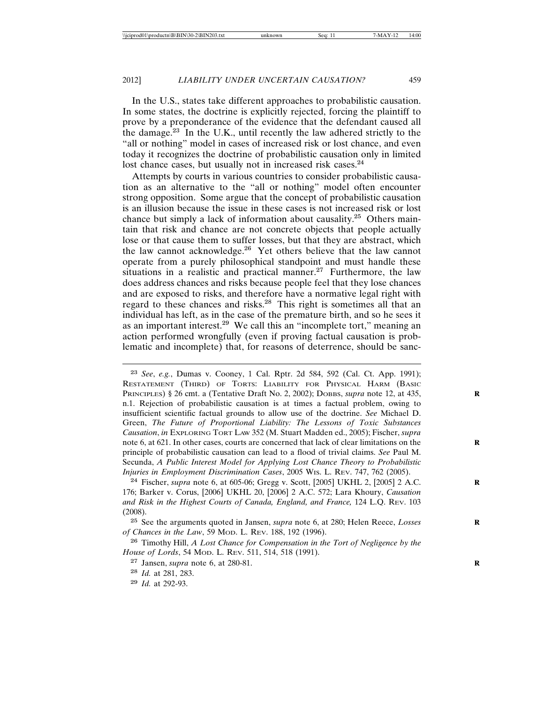In the U.S., states take different approaches to probabilistic causation. In some states, the doctrine is explicitly rejected, forcing the plaintiff to prove by a preponderance of the evidence that the defendant caused all the damage.<sup>23</sup> In the U.K., until recently the law adhered strictly to the "all or nothing" model in cases of increased risk or lost chance, and even today it recognizes the doctrine of probabilistic causation only in limited lost chance cases, but usually not in increased risk cases.<sup>24</sup>

Attempts by courts in various countries to consider probabilistic causation as an alternative to the "all or nothing" model often encounter strong opposition. Some argue that the concept of probabilistic causation is an illusion because the issue in these cases is not increased risk or lost chance but simply a lack of information about causality.<sup>25</sup> Others maintain that risk and chance are not concrete objects that people actually lose or that cause them to suffer losses, but that they are abstract, which the law cannot acknowledge.<sup>26</sup> Yet others believe that the law cannot operate from a purely philosophical standpoint and must handle these situations in a realistic and practical manner.<sup>27</sup> Furthermore, the law does address chances and risks because people feel that they lose chances and are exposed to risks, and therefore have a normative legal right with regard to these chances and risks.<sup>28</sup> This right is sometimes all that an individual has left, as in the case of the premature birth, and so he sees it as an important interest.<sup>29</sup> We call this an "incomplete tort," meaning an action performed wrongfully (even if proving factual causation is problematic and incomplete) that, for reasons of deterrence, should be sanc-

<sup>23</sup> *See*, *e.g.*, Dumas v. Cooney, 1 Cal. Rptr. 2d 584, 592 (Cal. Ct. App. 1991); RESTATEMENT (THIRD) OF TORTS: LIABILITY FOR PHYSICAL HARM (BASIC PRINCIPLES) § 26 cmt. a (Tentative Draft No. 2, 2002); DOBBS, *supra* note 12, at 435, n.1. Rejection of probabilistic causation is at times a factual problem, owing to insufficient scientific factual grounds to allow use of the doctrine. *See* Michael D. Green, *The Future of Proportional Liability: The Lessons of Toxic Substances Causation*, *in* EXPLORING TORT LAW 352 (M. Stuart Madden ed., 2005); Fischer, *supra* note 6, at 621. In other cases, courts are concerned that lack of clear limitations on the principle of probabilistic causation can lead to a flood of trivial claims. *See* Paul M. Secunda, *A Public Interest Model for Applying Lost Chance Theory to Probabilistic Injuries in Employment Discrimination Cases*, 2005 WIS. L. REV. 747, 762 (2005).

<sup>24</sup> Fischer, *supra* note 6, at 605-06; Gregg v. Scott, [2005] UKHL 2, [2005] 2 A.C. **R** 176; Barker v. Corus, [2006] UKHL 20, [2006] 2 A.C. 572; Lara Khoury, *Causation and Risk in the Highest Courts of Canada, England, and France,* 124 L.Q. REV. 103 (2008).

<sup>&</sup>lt;sup>25</sup> See the arguments quoted in Jansen, *supra* note 6, at 280; Helen Reece, *Losses of Chances in the Law*, 59 MOD. L. REV. 188, 192 (1996).

<sup>26</sup> Timothy Hill, *A Lost Chance for Compensation in the Tort of Negligence by the House of Lords*, 54 MOD. L. REV. 511, 514, 518 (1991).

<sup>27</sup> Jansen, *supra* note 6, at 280-81. **R**

<sup>28</sup> *Id.* at 281, 283.

<sup>29</sup> *Id.* at 292-93.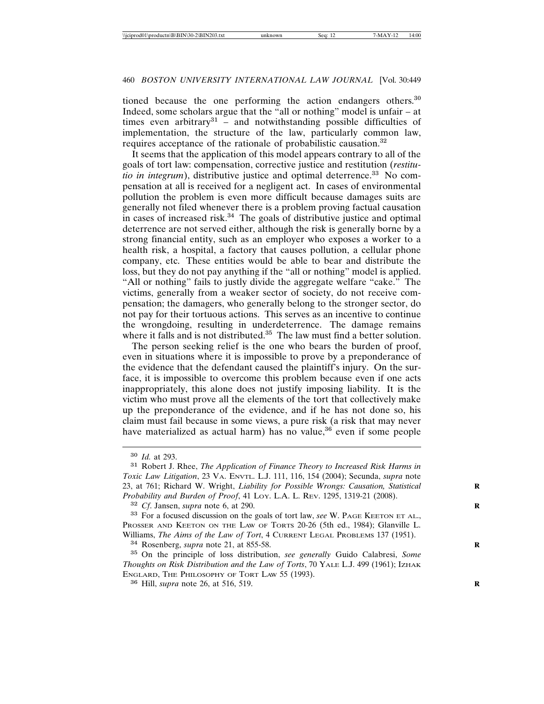tioned because the one performing the action endangers others.<sup>30</sup> Indeed, some scholars argue that the "all or nothing" model is unfair – at times even arbitrary $31$  – and notwithstanding possible difficulties of implementation, the structure of the law, particularly common law, requires acceptance of the rationale of probabilistic causation.<sup>32</sup>

It seems that the application of this model appears contrary to all of the goals of tort law: compensation, corrective justice and restitution (*restitutio in integrum*), distributive justice and optimal deterrence.<sup>33</sup> No compensation at all is received for a negligent act. In cases of environmental pollution the problem is even more difficult because damages suits are generally not filed whenever there is a problem proving factual causation in cases of increased risk.<sup>34</sup> The goals of distributive justice and optimal deterrence are not served either, although the risk is generally borne by a strong financial entity, such as an employer who exposes a worker to a health risk, a hospital, a factory that causes pollution, a cellular phone company, etc. These entities would be able to bear and distribute the loss, but they do not pay anything if the "all or nothing" model is applied. "All or nothing" fails to justly divide the aggregate welfare "cake." The victims, generally from a weaker sector of society, do not receive compensation; the damagers, who generally belong to the stronger sector, do not pay for their tortuous actions. This serves as an incentive to continue the wrongdoing, resulting in underdeterrence. The damage remains where it falls and is not distributed.<sup>35</sup> The law must find a better solution.

The person seeking relief is the one who bears the burden of proof, even in situations where it is impossible to prove by a preponderance of the evidence that the defendant caused the plaintiff's injury. On the surface, it is impossible to overcome this problem because even if one acts inappropriately, this alone does not justify imposing liability. It is the victim who must prove all the elements of the tort that collectively make up the preponderance of the evidence, and if he has not done so, his claim must fail because in some views, a pure risk (a risk that may never have materialized as actual harm) has no value,<sup>36</sup> even if some people

<sup>35</sup> On the principle of loss distribution, *see generally* Guido Calabresi, *Some Thoughts on Risk Distribution and the Law of Torts*, 70 YALE L.J. 499 (1961); IZHAK ENGLARD, THE PHILOSOPHY OF TORT LAW 55 (1993).

<sup>36</sup> Hill, *supra* note 26, at 516, 519. **R**

<sup>30</sup> *Id.* at 293.

<sup>31</sup> Robert J. Rhee, *The Application of Finance Theory to Increased Risk Harms in Toxic Law Litigation*, 23 VA. ENVTL. L.J. 111, 116, 154 (2004); Secunda, *supra* note 23, at 761; Richard W. Wright, *Liability for Possible Wrongs: Causation, Statistical* **R** *Probability and Burden of Proof*, 41 LOY. L.A. L. REV. 1295, 1319-21 (2008).

<sup>32</sup> *Cf*. Jansen, *supra* note 6, at 290. **R**

<sup>&</sup>lt;sup>33</sup> For a focused discussion on the goals of tort law, *see* W. PAGE KEETON ET AL., PROSSER AND KEETON ON THE LAW OF TORTS 20-26 (5th ed., 1984); Glanville L. Williams, *The Aims of the Law of Tort*, 4 CURRENT LEGAL PROBLEMS 137 (1951). <sup>34</sup> Rosenberg, *supra* note 21, at 855-58. **R**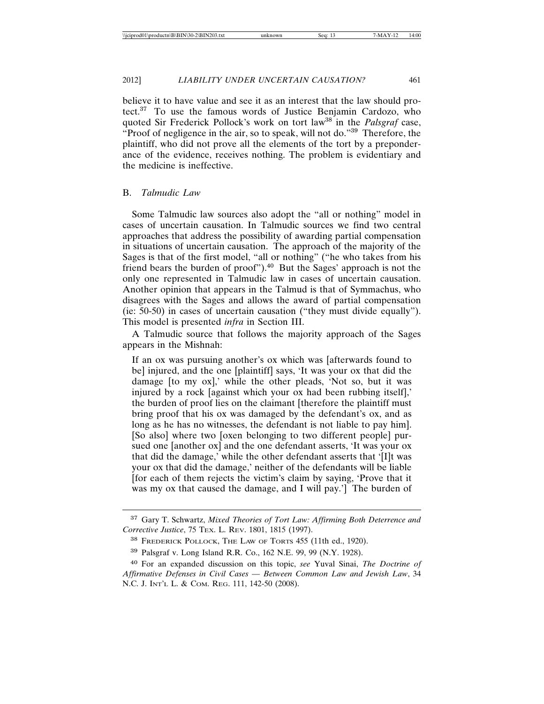believe it to have value and see it as an interest that the law should protect.<sup>37</sup> To use the famous words of Justice Benjamin Cardozo, who quoted Sir Frederick Pollock's work on tort law<sup>38</sup> in the *Palsgraf* case, "Proof of negligence in the air, so to speak, will not do."<sup>39</sup> Therefore, the plaintiff, who did not prove all the elements of the tort by a preponderance of the evidence, receives nothing. The problem is evidentiary and the medicine is ineffective.

### B. *Talmudic Law*

Some Talmudic law sources also adopt the "all or nothing" model in cases of uncertain causation. In Talmudic sources we find two central approaches that address the possibility of awarding partial compensation in situations of uncertain causation. The approach of the majority of the Sages is that of the first model, "all or nothing" ("he who takes from his friend bears the burden of proof").<sup>40</sup> But the Sages' approach is not the only one represented in Talmudic law in cases of uncertain causation. Another opinion that appears in the Talmud is that of Symmachus, who disagrees with the Sages and allows the award of partial compensation (ie: 50-50) in cases of uncertain causation ("they must divide equally"). This model is presented *infra* in Section III.

A Talmudic source that follows the majority approach of the Sages appears in the Mishnah:

If an ox was pursuing another's ox which was [afterwards found to be] injured, and the one [plaintiff] says, 'It was your ox that did the damage [to my ox],' while the other pleads, 'Not so, but it was injured by a rock [against which your ox had been rubbing itself],' the burden of proof lies on the claimant [therefore the plaintiff must bring proof that his ox was damaged by the defendant's ox, and as long as he has no witnesses, the defendant is not liable to pay him]. [So also] where two [oxen belonging to two different people] pursued one [another ox] and the one defendant asserts, 'It was your ox that did the damage,' while the other defendant asserts that '[I]t was your ox that did the damage,' neither of the defendants will be liable [for each of them rejects the victim's claim by saying, 'Prove that it was my ox that caused the damage, and I will pay.'] The burden of

<sup>37</sup> Gary T. Schwartz, *Mixed Theories of Tort Law: Affirming Both Deterrence and Corrective Justice*, 75 TEX. L. REV. 1801, 1815 (1997).

<sup>38</sup> FREDERICK POLLOCK, THE LAW OF TORTS 455 (11th ed., 1920).

<sup>39</sup> Palsgraf v. Long Island R.R. Co., 162 N.E. 99, 99 (N.Y. 1928).

<sup>40</sup> For an expanded discussion on this topic, *see* Yuval Sinai, *The Doctrine of Affirmative Defenses in Civil Cases* — *Between Common Law and Jewish Law*, 34 N.C. J. INT'L L. & COM. REG. 111, 142-50 (2008).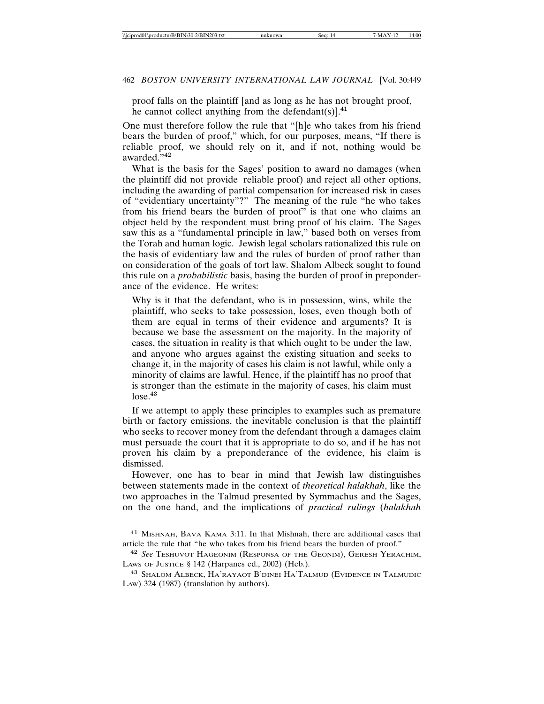proof falls on the plaintiff [and as long as he has not brought proof, he cannot collect anything from the defendant(s) $]^{41}$ .

One must therefore follow the rule that "[h]e who takes from his friend bears the burden of proof," which, for our purposes, means, "If there is reliable proof, we should rely on it, and if not, nothing would be awarded."<sup>42</sup>

What is the basis for the Sages' position to award no damages (when the plaintiff did not provide reliable proof) and reject all other options, including the awarding of partial compensation for increased risk in cases of "evidentiary uncertainty"?" The meaning of the rule "he who takes from his friend bears the burden of proof" is that one who claims an object held by the respondent must bring proof of his claim. The Sages saw this as a "fundamental principle in law," based both on verses from the Torah and human logic. Jewish legal scholars rationalized this rule on the basis of evidentiary law and the rules of burden of proof rather than on consideration of the goals of tort law. Shalom Albeck sought to found this rule on a *probabilistic* basis, basing the burden of proof in preponderance of the evidence. He writes:

Why is it that the defendant, who is in possession, wins, while the plaintiff, who seeks to take possession, loses, even though both of them are equal in terms of their evidence and arguments? It is because we base the assessment on the majority. In the majority of cases, the situation in reality is that which ought to be under the law, and anyone who argues against the existing situation and seeks to change it, in the majority of cases his claim is not lawful, while only a minority of claims are lawful. Hence, if the plaintiff has no proof that is stronger than the estimate in the majority of cases, his claim must  $lose.<sup>43</sup>$ 

If we attempt to apply these principles to examples such as premature birth or factory emissions, the inevitable conclusion is that the plaintiff who seeks to recover money from the defendant through a damages claim must persuade the court that it is appropriate to do so, and if he has not proven his claim by a preponderance of the evidence, his claim is dismissed.

However, one has to bear in mind that Jewish law distinguishes between statements made in the context of *theoretical halakhah*, like the two approaches in the Talmud presented by Symmachus and the Sages, on the one hand, and the implications of *practical rulings* (*halakhah*

<sup>41</sup> MISHNAH, BAVA KAMA 3:11. In that Mishnah, there are additional cases that article the rule that "he who takes from his friend bears the burden of proof."

<sup>42</sup> *See* TESHUVOT HAGEONIM (RESPONSA OF THE GEONIM), GERESH YERACHIM, LAWS OF JUSTICE § 142 (Harpanes ed., 2002) (Heb.).

<sup>43</sup> SHALOM ALBECK, HA'RAYAOT B'DINEI HA'TALMUD (EVIDENCE IN TALMUDIC LAW) 324 (1987) (translation by authors).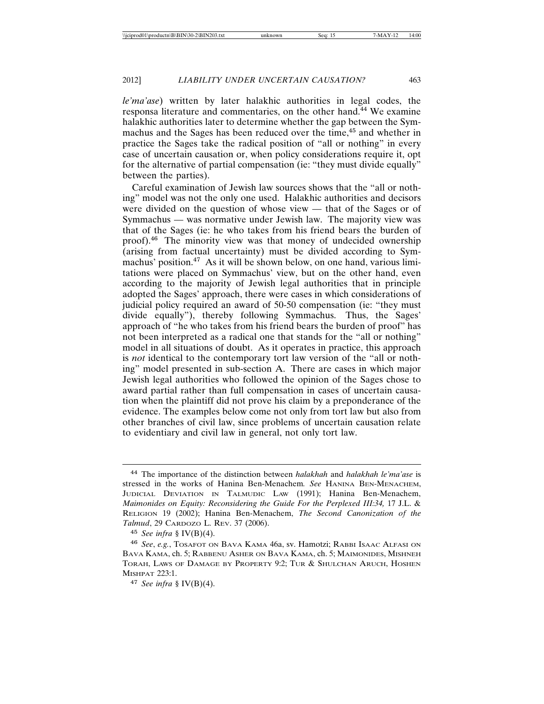*le'ma'ase*) written by later halakhic authorities in legal codes, the responsa literature and commentaries, on the other hand.<sup>44</sup> We examine halakhic authorities later to determine whether the gap between the Symmachus and the Sages has been reduced over the time,<sup>45</sup> and whether in practice the Sages take the radical position of "all or nothing" in every case of uncertain causation or, when policy considerations require it, opt for the alternative of partial compensation (ie: "they must divide equally" between the parties).

Careful examination of Jewish law sources shows that the "all or nothing" model was not the only one used. Halakhic authorities and decisors were divided on the question of whose view — that of the Sages or of Symmachus — was normative under Jewish law. The majority view was that of the Sages (ie: he who takes from his friend bears the burden of proof).<sup>46</sup> The minority view was that money of undecided ownership (arising from factual uncertainty) must be divided according to Symmachus' position.<sup>47</sup> As it will be shown below, on one hand, various limitations were placed on Symmachus' view, but on the other hand, even according to the majority of Jewish legal authorities that in principle adopted the Sages' approach, there were cases in which considerations of judicial policy required an award of 50-50 compensation (ie: "they must divide equally"), thereby following Symmachus. Thus, the Sages' approach of "he who takes from his friend bears the burden of proof" has not been interpreted as a radical one that stands for the "all or nothing" model in all situations of doubt. As it operates in practice, this approach is *not* identical to the contemporary tort law version of the "all or nothing" model presented in sub-section A. There are cases in which major Jewish legal authorities who followed the opinion of the Sages chose to award partial rather than full compensation in cases of uncertain causation when the plaintiff did not prove his claim by a preponderance of the evidence. The examples below come not only from tort law but also from other branches of civil law, since problems of uncertain causation relate to evidentiary and civil law in general, not only tort law.

<sup>44</sup> The importance of the distinction between *halakhah* and *halakhah le'ma'ase* is stressed in the works of Hanina Ben-Menachem*. See* HANINA BEN-MENACHEM, JUDICIAL DEVIATION IN TALMUDIC LAW (1991); Hanina Ben-Menachem, *Maimonides on Equity: Reconsidering the Guide For the Perplexed III:34,* 17 J.L. & RELIGION 19 (2002); Hanina Ben-Menachem, *The Second Canonization of the Talmud*, 29 CARDOZO L. REV. 37 (2006).

<sup>45</sup> *See infra* § IV(B)(4).

<sup>46</sup> *See*, *e.g.*, TOSAFOT ON BAVA KAMA 46a, sv. Hamotzi; RABBI ISAAC ALFASI ON BAVA KAMA, ch. 5; RABBENU ASHER ON BAVA KAMA, ch. 5; MAIMONIDES, MISHNEH TORAH, LAWS OF DAMAGE BY PROPERTY 9:2; TUR & SHULCHAN ARUCH, HOSHEN MISHPAT 223:1.

<sup>47</sup> *See infra* § IV(B)(4).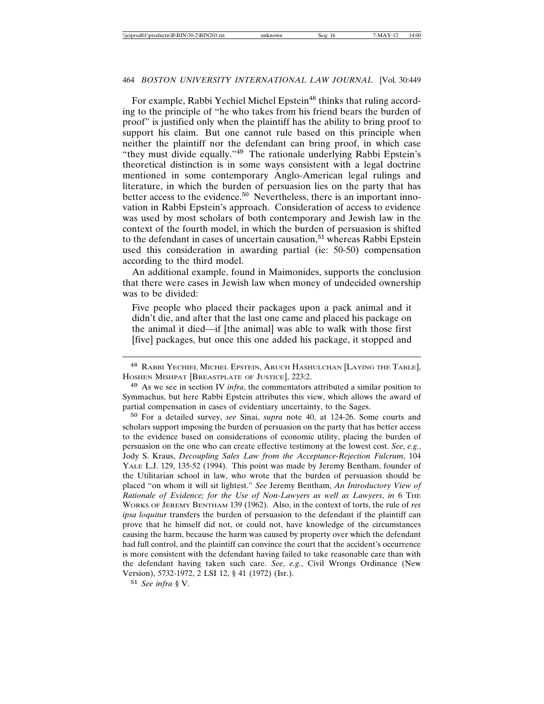For example, Rabbi Yechiel Michel Epstein<sup>48</sup> thinks that ruling according to the principle of "he who takes from his friend bears the burden of proof" is justified only when the plaintiff has the ability to bring proof to support his claim. But one cannot rule based on this principle when neither the plaintiff nor the defendant can bring proof, in which case "they must divide equally."<sup>49</sup> The rationale underlying Rabbi Epstein's theoretical distinction is in some ways consistent with a legal doctrine mentioned in some contemporary Anglo-American legal rulings and literature, in which the burden of persuasion lies on the party that has better access to the evidence.<sup>50</sup> Nevertheless, there is an important innovation in Rabbi Epstein's approach. Consideration of access to evidence was used by most scholars of both contemporary and Jewish law in the context of the fourth model, in which the burden of persuasion is shifted to the defendant in cases of uncertain causation,<sup>51</sup> whereas Rabbi Epstein used this consideration in awarding partial (ie: 50-50) compensation according to the third model.

An additional example, found in Maimonides, supports the conclusion that there were cases in Jewish law when money of undecided ownership was to be divided:

Five people who placed their packages upon a pack animal and it didn't die, and after that the last one came and placed his package on the animal it died—if [the animal] was able to walk with those first [five] packages, but once this one added his package, it stopped and

<sup>50</sup> For a detailed survey, *see* Sinai, *supra* note 40, at 124-26. Some courts and scholars support imposing the burden of persuasion on the party that has better access to the evidence based on considerations of economic utility, placing the burden of persuasion on the one who can create effective testimony at the lowest cost. *See*, *e.g.*, Jody S. Kraus, *Decoupling Sales Law from the Acceptance-Rejection Fulcrum*, 104 YALE L.J. 129, 135-52 (1994). This point was made by Jeremy Bentham, founder of the Utilitarian school in law, who wrote that the burden of persuasion should be placed "on whom it will sit lightest." *See* Jeremy Bentham, *An Introductory View of Rationale of Evidence; for the Use of Non-Lawyers as well as Lawyers*, *in* 6 THE WORKS OF JEREMY BENTHAM 139 (1962). Also, in the context of torts, the rule of *res ipsa loquitur* transfers the burden of persuasion to the defendant if the plaintiff can prove that he himself did not, or could not, have knowledge of the circumstances causing the harm, because the harm was caused by property over which the defendant had full control, and the plaintiff can convince the court that the accident's occurrence is more consistent with the defendant having failed to take reasonable care than with the defendant having taken such care. *See*, *e.g.*, Civil Wrongs Ordinance (New Version), 5732-1972, 2 LSI 12, § 41 (1972) (Isr.).

<sup>48</sup> RABBI YECHIEL MICHEL EPSTEIN, ARUCH HASHULCHAN [LAYING THE TABLE], HOSHEN MISHPAT [BREASTPLATE OF JUSTICE], 223:2.

<sup>49</sup> As we see in section IV *infra*, the commentators attributed a similar position to Symmachus, but here Rabbi Epstein attributes this view, which allows the award of partial compensation in cases of evidentiary uncertainty, to the Sages.

<sup>51</sup> *See infra* § V.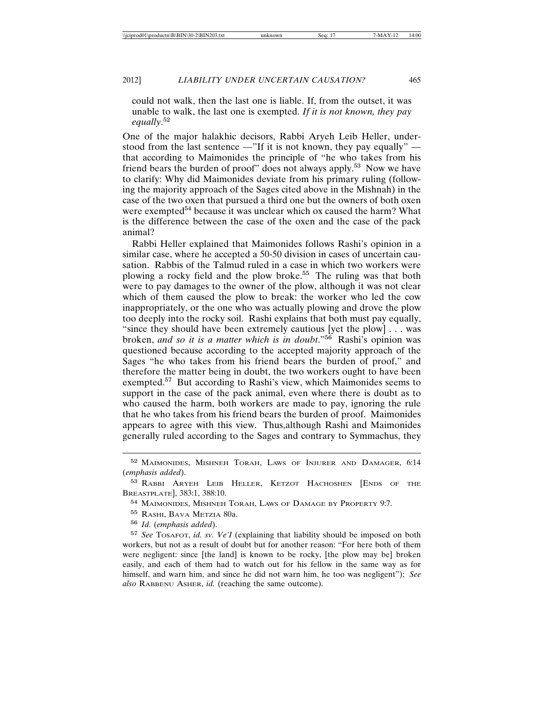could not walk, then the last one is liable. If, from the outset, it was unable to walk, the last one is exempted. *If it is not known, they pay equally*. 52

One of the major halakhic decisors, Rabbi Aryeh Leib Heller, understood from the last sentence —"If it is not known, they pay equally" that according to Maimonides the principle of "he who takes from his friend bears the burden of proof" does not always apply.<sup>53</sup> Now we have to clarify: Why did Maimonides deviate from his primary ruling (following the majority approach of the Sages cited above in the Mishnah) in the case of the two oxen that pursued a third one but the owners of both oxen were exempted<sup>54</sup> because it was unclear which ox caused the harm? What is the difference between the case of the oxen and the case of the pack animal?

Rabbi Heller explained that Maimonides follows Rashi's opinion in a similar case, where he accepted a 50-50 division in cases of uncertain causation. Rabbis of the Talmud ruled in a case in which two workers were plowing a rocky field and the plow broke.<sup>55</sup> The ruling was that both were to pay damages to the owner of the plow, although it was not clear which of them caused the plow to break: the worker who led the cow inappropriately, or the one who was actually plowing and drove the plow too deeply into the rocky soil. Rashi explains that both must pay equally, "since they should have been extremely cautious [yet the plow] . . . was broken, *and so it is a matter which is in doubt*."<sup>56</sup> Rashi's opinion was questioned because according to the accepted majority approach of the Sages "he who takes from his friend bears the burden of proof," and therefore the matter being in doubt, the two workers ought to have been exempted.<sup>57</sup> But according to Rashi's view, which Maimonides seems to support in the case of the pack animal, even where there is doubt as to who caused the harm, both workers are made to pay, ignoring the rule that he who takes from his friend bears the burden of proof. Maimonides appears to agree with this view. Thus,although Rashi and Maimonides generally ruled according to the Sages and contrary to Symmachus, they

<sup>56</sup> *Id.* (*emphasis added*).

<sup>57</sup> *See* TOSAFOT, *id. sv. Ve'I* (explaining that liability should be imposed on both workers, but not as a result of doubt but for another reason: "For here both of them were negligent: since [the land] is known to be rocky, [the plow may be] broken easily, and each of them had to watch out for his fellow in the same way as for himself, and warn him, and since he did not warn him, he too was negligent"); *See also* RABBENU ASHER, *id.* (reaching the same outcome).

<sup>52</sup> MAIMONIDES, MISHNEH TORAH, LAWS OF INJURER AND DAMAGER, 6:14 (*emphasis added*).

<sup>53</sup> RABBI ARYEH LEIB HELLER, KETZOT HACHOSHEN [ENDS OF THE BREASTPLATE], 383:1, 388:10.

<sup>54</sup> MAIMONIDES, MISHNEH TORAH, LAWS OF DAMAGE BY PROPERTY 9:7.

<sup>55</sup> RASHI, BAVA METZIA 80a.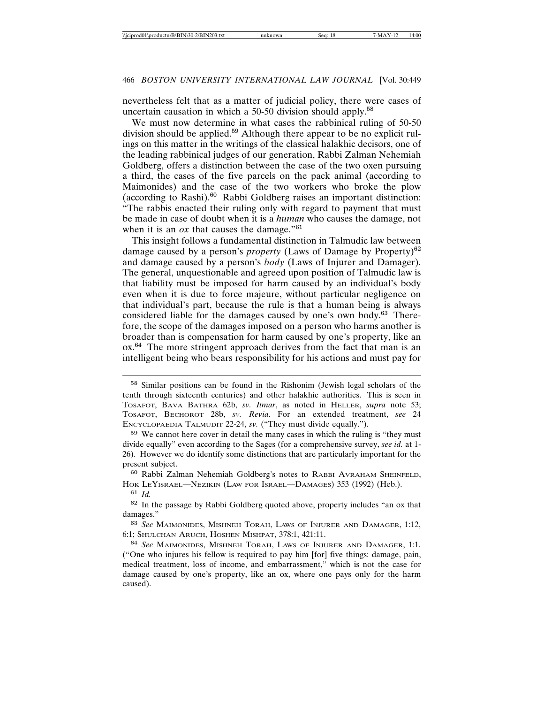nevertheless felt that as a matter of judicial policy, there were cases of uncertain causation in which a  $50-50$  division should apply.<sup>58</sup>

We must now determine in what cases the rabbinical ruling of 50-50 division should be applied.<sup>59</sup> Although there appear to be no explicit rulings on this matter in the writings of the classical halakhic decisors, one of the leading rabbinical judges of our generation, Rabbi Zalman Nehemiah Goldberg, offers a distinction between the case of the two oxen pursuing a third, the cases of the five parcels on the pack animal (according to Maimonides) and the case of the two workers who broke the plow (according to Rashi).<sup>60</sup> Rabbi Goldberg raises an important distinction: "The rabbis enacted their ruling only with regard to payment that must be made in case of doubt when it is a *human* who causes the damage, not when it is an  $\alpha x$  that causes the damage."<sup>61</sup>

This insight follows a fundamental distinction in Talmudic law between damage caused by a person's *property* (Laws of Damage by Property)<sup>62</sup> and damage caused by a person's *body* (Laws of Injurer and Damager). The general, unquestionable and agreed upon position of Talmudic law is that liability must be imposed for harm caused by an individual's body even when it is due to force majeure, without particular negligence on that individual's part, because the rule is that a human being is always considered liable for the damages caused by one's own body.<sup>63</sup> Therefore, the scope of the damages imposed on a person who harms another is broader than is compensation for harm caused by one's property, like an ox.<sup>64</sup> The more stringent approach derives from the fact that man is an intelligent being who bears responsibility for his actions and must pay for

<sup>63</sup> *See* MAIMONIDES, MISHNEH TORAH, LAWS OF INJURER AND DAMAGER, 1:12, 6:1; SHULCHAN ARUCH, HOSHEN MISHPAT, 378:1, 421:11.

<sup>64</sup> *See* MAIMONIDES, MISHNEH TORAH, LAWS OF INJURER AND DAMAGER, 1:1. ("One who injures his fellow is required to pay him [for] five things: damage, pain, medical treatment, loss of income, and embarrassment," which is not the case for damage caused by one's property, like an ox, where one pays only for the harm caused).

<sup>58</sup> Similar positions can be found in the Rishonim (Jewish legal scholars of the tenth through sixteenth centuries) and other halakhic authorities. This is seen in TOSAFOT, BAVA BATHRA 62b, *sv. Itmar*, as noted in HELLER, *supra* note 53; TOSAFOT, BECHOROT 28b, *sv. Revia*. For an extended treatment, *see* 24 ENCYCLOPAEDIA TALMUDIT 22-24, *sv.* ("They must divide equally.").

<sup>59</sup> We cannot here cover in detail the many cases in which the ruling is "they must divide equally" even according to the Sages (for a comprehensive survey, *see id.* at 1- 26). However we do identify some distinctions that are particularly important for the present subject.

<sup>60</sup> Rabbi Zalman Nehemiah Goldberg's notes to RABBI AVRAHAM SHEINFELD, HOK LEYISRAEL—NEZIKIN (LAW FOR ISRAEL—DAMAGES) 353 (1992) (Heb.).

<sup>61</sup> *Id.*

<sup>62</sup> In the passage by Rabbi Goldberg quoted above, property includes "an ox that damages."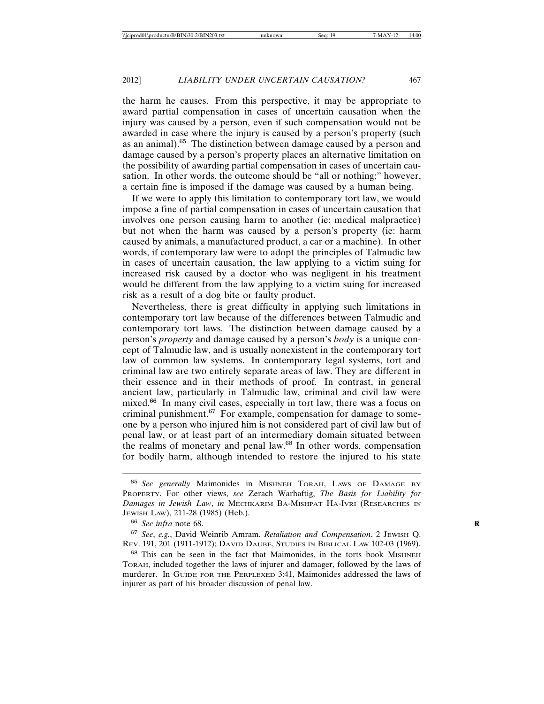the harm he causes. From this perspective, it may be appropriate to award partial compensation in cases of uncertain causation when the injury was caused by a person, even if such compensation would not be awarded in case where the injury is caused by a person's property (such as an animal).<sup>65</sup> The distinction between damage caused by a person and damage caused by a person's property places an alternative limitation on the possibility of awarding partial compensation in cases of uncertain causation. In other words, the outcome should be "all or nothing;" however, a certain fine is imposed if the damage was caused by a human being.

If we were to apply this limitation to contemporary tort law, we would impose a fine of partial compensation in cases of uncertain causation that involves one person causing harm to another (ie: medical malpractice) but not when the harm was caused by a person's property (ie: harm caused by animals, a manufactured product, a car or a machine). In other words, if contemporary law were to adopt the principles of Talmudic law in cases of uncertain causation, the law applying to a victim suing for increased risk caused by a doctor who was negligent in his treatment would be different from the law applying to a victim suing for increased risk as a result of a dog bite or faulty product.

Nevertheless, there is great difficulty in applying such limitations in contemporary tort law because of the differences between Talmudic and contemporary tort laws. The distinction between damage caused by a person's *property* and damage caused by a person's *body* is a unique concept of Talmudic law, and is usually nonexistent in the contemporary tort law of common law systems. In contemporary legal systems, tort and criminal law are two entirely separate areas of law. They are different in their essence and in their methods of proof. In contrast, in general ancient law, particularly in Talmudic law, criminal and civil law were mixed.<sup>66</sup> In many civil cases, especially in tort law, there was a focus on criminal punishment.<sup>67</sup> For example, compensation for damage to someone by a person who injured him is not considered part of civil law but of penal law, or at least part of an intermediary domain situated between the realms of monetary and penal law.<sup>68</sup> In other words, compensation for bodily harm, although intended to restore the injured to his state

<sup>68</sup> This can be seen in the fact that Maimonides, in the torts book MISHNEH TORAH, included together the laws of injurer and damager, followed by the laws of murderer. In GUIDE FOR THE PERPLEXED 3:41, Maimonides addressed the laws of injurer as part of his broader discussion of penal law.

<sup>65</sup> *See generally* Maimonides in MISHNEH TORAH, LAWS OF DAMAGE BY PROPERTY. For other views, *see* Zerach Warhaftig, *The Basis for Liability for Damages in Jewish Law*, *in* MECHKARIM BA-MISHPAT HA-IVRI (RESEARCHES IN JEWISH LAW), 211-28 (1985) (Heb.).

<sup>66</sup> *See infra* note 68. **R**

<sup>67</sup> *See*, *e.g.*, David Weinrib Amram, *Retaliation and Compensation*, 2 JEWISH Q. REV. 191, 201 (1911-1912); DAVID DAUBE, STUDIES IN BIBLICAL LAW 102-03 (1969).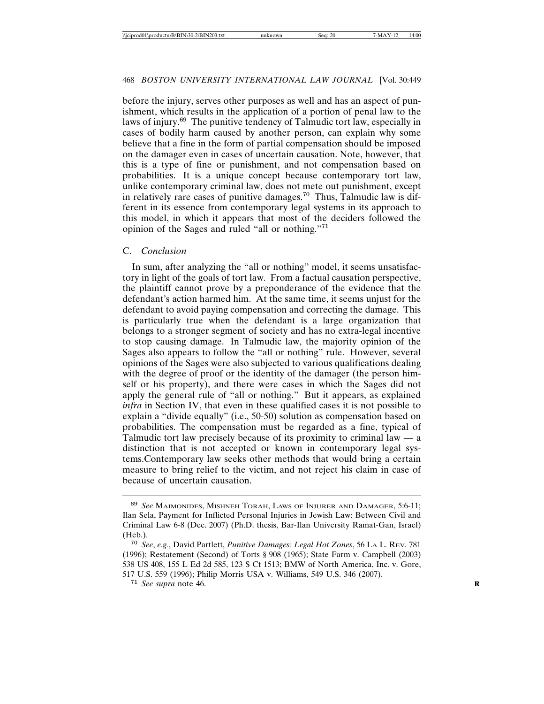before the injury, serves other purposes as well and has an aspect of punishment, which results in the application of a portion of penal law to the laws of injury.<sup>69</sup> The punitive tendency of Talmudic tort law, especially in cases of bodily harm caused by another person, can explain why some believe that a fine in the form of partial compensation should be imposed on the damager even in cases of uncertain causation. Note, however, that this is a type of fine or punishment, and not compensation based on probabilities. It is a unique concept because contemporary tort law, unlike contemporary criminal law, does not mete out punishment, except in relatively rare cases of punitive damages.<sup>70</sup> Thus, Talmudic law is different in its essence from contemporary legal systems in its approach to this model, in which it appears that most of the deciders followed the opinion of the Sages and ruled "all or nothing."<sup>71</sup>

### C. *Conclusion*

In sum, after analyzing the "all or nothing" model, it seems unsatisfactory in light of the goals of tort law. From a factual causation perspective, the plaintiff cannot prove by a preponderance of the evidence that the defendant's action harmed him. At the same time, it seems unjust for the defendant to avoid paying compensation and correcting the damage. This is particularly true when the defendant is a large organization that belongs to a stronger segment of society and has no extra-legal incentive to stop causing damage. In Talmudic law, the majority opinion of the Sages also appears to follow the "all or nothing" rule. However, several opinions of the Sages were also subjected to various qualifications dealing with the degree of proof or the identity of the damager (the person himself or his property), and there were cases in which the Sages did not apply the general rule of "all or nothing." But it appears, as explained *infra* in Section IV, that even in these qualified cases it is not possible to explain a "divide equally" (i.e., 50-50) solution as compensation based on probabilities. The compensation must be regarded as a fine, typical of Talmudic tort law precisely because of its proximity to criminal law  $-$  a distinction that is not accepted or known in contemporary legal systems.Contemporary law seeks other methods that would bring a certain measure to bring relief to the victim, and not reject his claim in case of because of uncertain causation.

<sup>69</sup> *See* MAIMONIDES, MISHNEH TORAH, LAWS OF INJURER AND DAMAGER, 5:6-11; Ilan Sela, Payment for Inflicted Personal Injuries in Jewish Law: Between Civil and Criminal Law 6-8 (Dec. 2007) (Ph.D. thesis, Bar-Ilan University Ramat-Gan, Israel) (Heb.).

<sup>70</sup> *See*, *e.g.*, David Partlett, *Punitive Damages: Legal Hot Zones*, 56 LA L. REV. 781 (1996); Restatement (Second) of Torts § 908 (1965); State Farm v. Campbell (2003) 538 US 408, 155 L Ed 2d 585, 123 S Ct 1513; BMW of North America, Inc. v. Gore, 517 U.S. 559 (1996); Philip Morris USA v. Williams, 549 U.S. 346 (2007).

<sup>71</sup> *See supra* note 46. **R**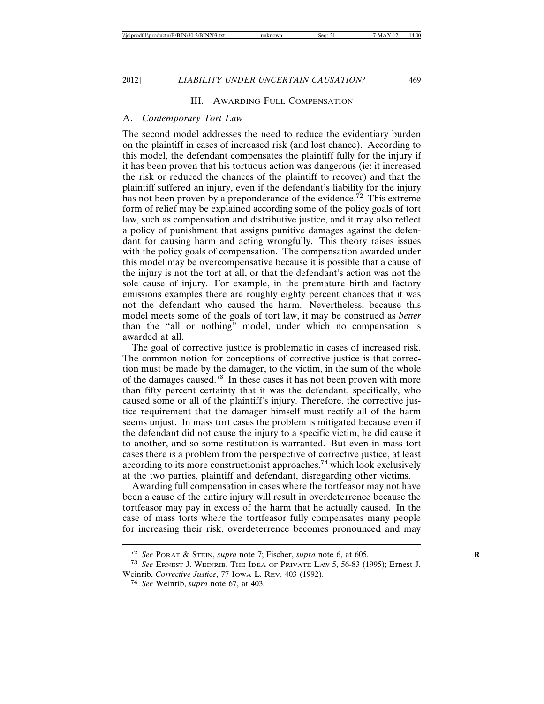2012] *LIABILITY UNDER UNCERTAIN CAUSATION?* 469

### III. AWARDING FULL COMPENSATION

### A. *Contemporary Tort Law*

The second model addresses the need to reduce the evidentiary burden on the plaintiff in cases of increased risk (and lost chance). According to this model, the defendant compensates the plaintiff fully for the injury if it has been proven that his tortuous action was dangerous (ie: it increased the risk or reduced the chances of the plaintiff to recover) and that the plaintiff suffered an injury, even if the defendant's liability for the injury has not been proven by a preponderance of the evidence.<sup>72</sup> This extreme form of relief may be explained according some of the policy goals of tort law, such as compensation and distributive justice, and it may also reflect a policy of punishment that assigns punitive damages against the defendant for causing harm and acting wrongfully. This theory raises issues with the policy goals of compensation. The compensation awarded under this model may be overcompensative because it is possible that a cause of the injury is not the tort at all, or that the defendant's action was not the sole cause of injury. For example, in the premature birth and factory emissions examples there are roughly eighty percent chances that it was not the defendant who caused the harm. Nevertheless, because this model meets some of the goals of tort law, it may be construed as *better* than the "all or nothing" model, under which no compensation is awarded at all.

The goal of corrective justice is problematic in cases of increased risk. The common notion for conceptions of corrective justice is that correction must be made by the damager, to the victim, in the sum of the whole of the damages caused.<sup>73</sup> In these cases it has not been proven with more than fifty percent certainty that it was the defendant, specifically, who caused some or all of the plaintiff's injury. Therefore, the corrective justice requirement that the damager himself must rectify all of the harm seems unjust. In mass tort cases the problem is mitigated because even if the defendant did not cause the injury to a specific victim, he did cause it to another, and so some restitution is warranted. But even in mass tort cases there is a problem from the perspective of corrective justice, at least according to its more constructionist approaches,<sup>74</sup> which look exclusively at the two parties, plaintiff and defendant, disregarding other victims.

Awarding full compensation in cases where the tortfeasor may not have been a cause of the entire injury will result in overdeterrence because the tortfeasor may pay in excess of the harm that he actually caused. In the case of mass torts where the tortfeasor fully compensates many people for increasing their risk, overdeterrence becomes pronounced and may

<sup>72</sup> *See* PORAT & STEIN, *supra* note 7; Fischer, *supra* note 6, at 605. **R**

<sup>73</sup> *See* ERNEST J. WEINRIB, THE IDEA OF PRIVATE LAW 5, 56-83 (1995); Ernest J. Weinrib, *Corrective Justice*, 77 IOWA L. REV. 403 (1992).

<sup>74</sup> *See* Weinrib, *supra* note 67, at 403.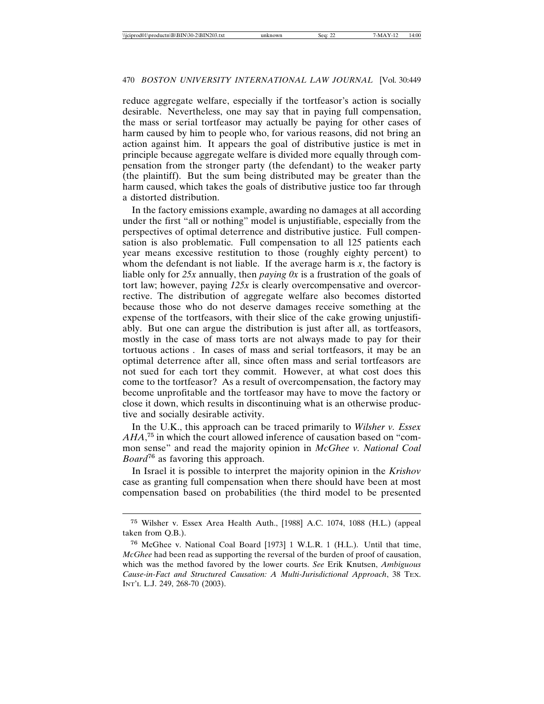reduce aggregate welfare, especially if the tortfeasor's action is socially desirable. Nevertheless, one may say that in paying full compensation, the mass or serial tortfeasor may actually be paying for other cases of harm caused by him to people who, for various reasons, did not bring an action against him. It appears the goal of distributive justice is met in principle because aggregate welfare is divided more equally through compensation from the stronger party (the defendant) to the weaker party (the plaintiff). But the sum being distributed may be greater than the harm caused, which takes the goals of distributive justice too far through a distorted distribution.

In the factory emissions example, awarding no damages at all according under the first "all or nothing" model is unjustifiable, especially from the perspectives of optimal deterrence and distributive justice. Full compensation is also problematic. Full compensation to all 125 patients each year means excessive restitution to those (roughly eighty percent) to whom the defendant is not liable. If the average harm is  $x$ , the factory is liable only for *25x* annually, then *paying 0x* is a frustration of the goals of tort law; however, paying *125x* is clearly overcompensative and overcorrective. The distribution of aggregate welfare also becomes distorted because those who do not deserve damages receive something at the expense of the tortfeasors, with their slice of the cake growing unjustifiably. But one can argue the distribution is just after all, as tortfeasors, mostly in the case of mass torts are not always made to pay for their tortuous actions . In cases of mass and serial tortfeasors, it may be an optimal deterrence after all, since often mass and serial tortfeasors are not sued for each tort they commit. However, at what cost does this come to the tortfeasor? As a result of overcompensation, the factory may become unprofitable and the tortfeasor may have to move the factory or close it down, which results in discontinuing what is an otherwise productive and socially desirable activity.

In the U.K., this approach can be traced primarily to *Wilsher v. Essex AHA*, <sup>75</sup> in which the court allowed inference of causation based on "common sense" and read the majority opinion in *McGhee v. National Coal Board*<sup>76</sup> as favoring this approach.

In Israel it is possible to interpret the majority opinion in the *Krishov* case as granting full compensation when there should have been at most compensation based on probabilities (the third model to be presented

<sup>75</sup> Wilsher v. Essex Area Health Auth., [1988] A.C. 1074, 1088 (H.L.) (appeal taken from Q.B.).

<sup>76</sup> McGhee v. National Coal Board [1973] 1 W.L.R. 1 (H.L.). Until that time, *McGhee* had been read as supporting the reversal of the burden of proof of causation, which was the method favored by the lower courts. *See* Erik Knutsen, *Ambiguous Cause-in-Fact and Structured Causation: A Multi-Jurisdictional Approach*, 38 TEX. INT'L L.J. 249, 268-70 (2003).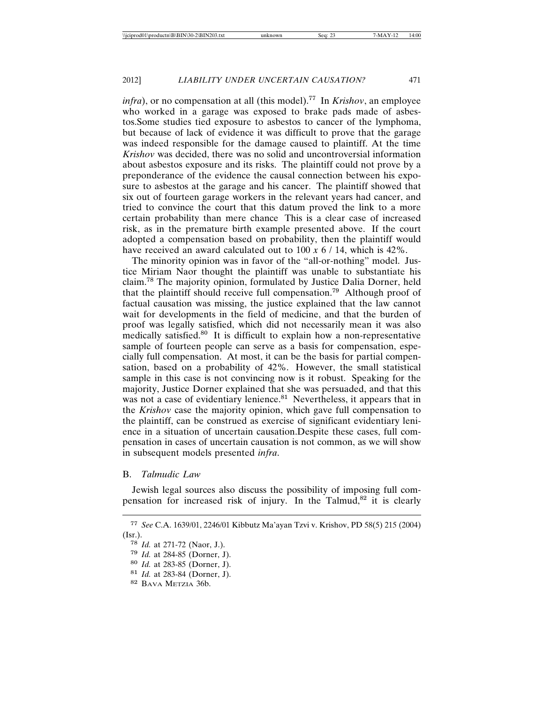*infra*), or no compensation at all (this model).<sup>77</sup> In *Krishov*, an employee who worked in a garage was exposed to brake pads made of asbestos.Some studies tied exposure to asbestos to cancer of the lymphoma, but because of lack of evidence it was difficult to prove that the garage was indeed responsible for the damage caused to plaintiff. At the time *Krishov* was decided, there was no solid and uncontroversial information about asbestos exposure and its risks. The plaintiff could not prove by a preponderance of the evidence the causal connection between his exposure to asbestos at the garage and his cancer. The plaintiff showed that six out of fourteen garage workers in the relevant years had cancer, and tried to convince the court that this datum proved the link to a more certain probability than mere chance This is a clear case of increased risk, as in the premature birth example presented above. If the court adopted a compensation based on probability, then the plaintiff would have received an award calculated out to 100 *x* 6 / 14, which is 42%.

The minority opinion was in favor of the "all-or-nothing" model. Justice Miriam Naor thought the plaintiff was unable to substantiate his claim.<sup>78</sup> The majority opinion, formulated by Justice Dalia Dorner, held that the plaintiff should receive full compensation.<sup>79</sup> Although proof of factual causation was missing, the justice explained that the law cannot wait for developments in the field of medicine, and that the burden of proof was legally satisfied, which did not necessarily mean it was also medically satisfied.<sup>80</sup> It is difficult to explain how a non-representative sample of fourteen people can serve as a basis for compensation, especially full compensation. At most, it can be the basis for partial compensation, based on a probability of 42%. However, the small statistical sample in this case is not convincing now is it robust. Speaking for the majority, Justice Dorner explained that she was persuaded, and that this was not a case of evidentiary lenience.<sup>81</sup> Nevertheless, it appears that in the *Krishov* case the majority opinion, which gave full compensation to the plaintiff, can be construed as exercise of significant evidentiary lenience in a situation of uncertain causation.Despite these cases, full compensation in cases of uncertain causation is not common, as we will show in subsequent models presented *infra*.

### B. *Talmudic Law*

Jewish legal sources also discuss the possibility of imposing full compensation for increased risk of injury. In the Talmud,<sup>82</sup> it is clearly

<sup>77</sup> *See* C.A. 1639/01, 2246/01 Kibbutz Ma'ayan Tzvi v. Krishov, PD 58(5) 215 (2004) (Isr.).

<sup>78</sup> *Id.* at 271-72 (Naor, J.).

<sup>79</sup> *Id.* at 284-85 (Dorner, J).

<sup>80</sup> *Id.* at 283-85 (Dorner, J).

<sup>81</sup> *Id.* at 283-84 (Dorner, J).

<sup>82</sup> BAVA METZIA 36b.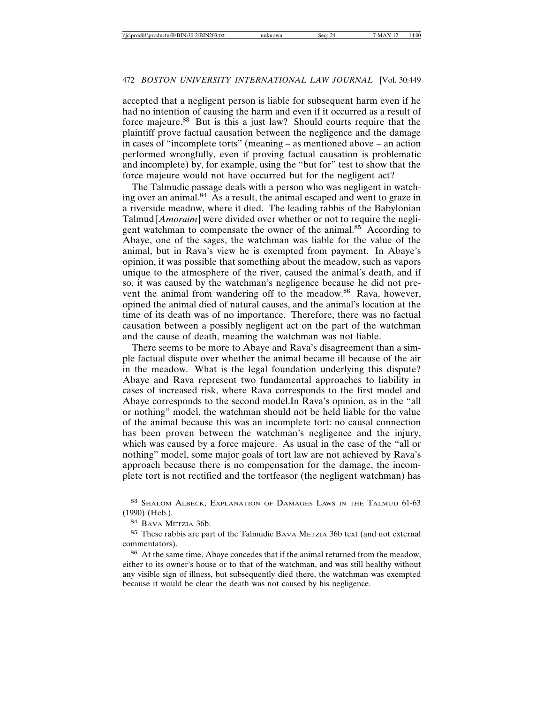accepted that a negligent person is liable for subsequent harm even if he had no intention of causing the harm and even if it occurred as a result of force majeure.<sup>83</sup> But is this a just law? Should courts require that the plaintiff prove factual causation between the negligence and the damage in cases of "incomplete torts" (meaning – as mentioned above – an action performed wrongfully, even if proving factual causation is problematic and incomplete) by, for example, using the "but for" test to show that the force majeure would not have occurred but for the negligent act?

The Talmudic passage deals with a person who was negligent in watching over an animal.<sup>84</sup> As a result, the animal escaped and went to graze in a riverside meadow, where it died. The leading rabbis of the Babylonian Talmud [*Amoraim*] were divided over whether or not to require the negligent watchman to compensate the owner of the animal.<sup>85</sup> According to Abaye, one of the sages, the watchman was liable for the value of the animal, but in Rava's view he is exempted from payment. In Abaye's opinion, it was possible that something about the meadow, such as vapors unique to the atmosphere of the river, caused the animal's death, and if so, it was caused by the watchman's negligence because he did not prevent the animal from wandering off to the meadow.<sup>86</sup> Rava, however, opined the animal died of natural causes, and the animal's location at the time of its death was of no importance. Therefore, there was no factual causation between a possibly negligent act on the part of the watchman and the cause of death, meaning the watchman was not liable.

There seems to be more to Abaye and Rava's disagreement than a simple factual dispute over whether the animal became ill because of the air in the meadow. What is the legal foundation underlying this dispute? Abaye and Rava represent two fundamental approaches to liability in cases of increased risk, where Rava corresponds to the first model and Abaye corresponds to the second model.In Rava's opinion, as in the "all or nothing" model, the watchman should not be held liable for the value of the animal because this was an incomplete tort: no causal connection has been proven between the watchman's negligence and the injury, which was caused by a force majeure. As usual in the case of the "all or nothing" model, some major goals of tort law are not achieved by Rava's approach because there is no compensation for the damage, the incomplete tort is not rectified and the tortfeasor (the negligent watchman) has

<sup>83</sup> SHALOM ALBECK, EXPLANATION OF DAMAGES LAWS IN THE TALMUD 61-63 (1990) (Heb.).

<sup>84</sup> BAVA METZIA 36b.

<sup>85</sup> These rabbis are part of the Talmudic BAVA METZIA 36b text (and not external commentators).

<sup>86</sup> At the same time, Abaye concedes that if the animal returned from the meadow, either to its owner's house or to that of the watchman, and was still healthy without any visible sign of illness, but subsequently died there, the watchman was exempted because it would be clear the death was not caused by his negligence.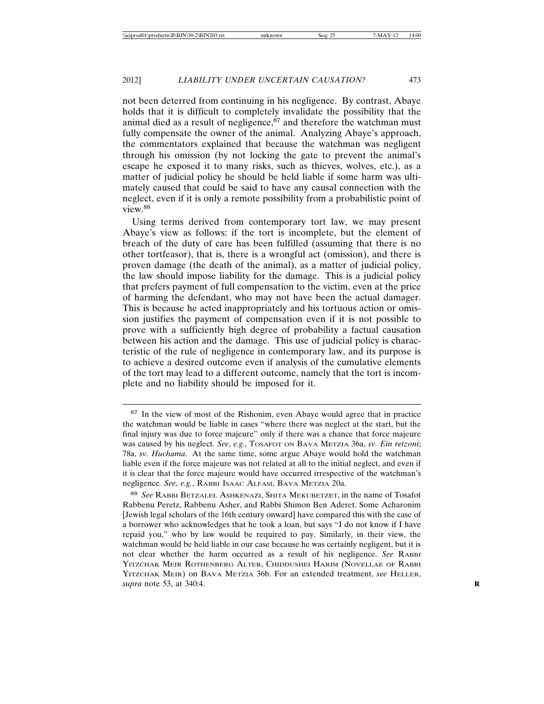not been deterred from continuing in his negligence. By contrast, Abaye holds that it is difficult to completely invalidate the possibility that the animal died as a result of negligence, $87$  and therefore the watchman must fully compensate the owner of the animal. Analyzing Abaye's approach, the commentators explained that because the watchman was negligent through his omission (by not locking the gate to prevent the animal's escape he exposed it to many risks, such as thieves, wolves, etc.), as a matter of judicial policy he should be held liable if some harm was ultimately caused that could be said to have any causal connection with the neglect, even if it is only a remote possibility from a probabilistic point of view.<sup>88</sup>

Using terms derived from contemporary tort law, we may present Abaye's view as follows: if the tort is incomplete, but the element of breach of the duty of care has been fulfilled (assuming that there is no other tortfeasor), that is, there is a wrongful act (omission), and there is proven damage (the death of the animal), as a matter of judicial policy, the law should impose liability for the damage. This is a judicial policy that prefers payment of full compensation to the victim, even at the price of harming the defendant, who may not have been the actual damager. This is because he acted inappropriately and his tortuous action or omission justifies the payment of compensation even if it is not possible to prove with a sufficiently high degree of probability a factual causation between his action and the damage. This use of judicial policy is characteristic of the rule of negligence in contemporary law, and its purpose is to achieve a desired outcome even if analysis of the cumulative elements of the tort may lead to a different outcome, namely that the tort is incomplete and no liability should be imposed for it.

<sup>87</sup> In the view of most of the Rishonim, even Abaye would agree that in practice the watchman would be liable in cases "where there was neglect at the start, but the final injury was due to force majeure" only if there was a chance that force majeure was caused by his neglect. *See*, *e.g.*, TOSAFOT ON BAVA METZIA 36a, *sv. Ein retzoni*; 78a, *sv. Huchama*. At the same time, some argue Abaye would hold the watchman liable even if the force majeure was not related at all to the initial neglect, and even if it is clear that the force majeure would have occurred irrespective of the watchman's negligence*. See*, *e.g.*, RABBI ISAAC ALFASI, BAVA METZIA 20a.

<sup>88</sup> *See* RABBI BETZALEL ASHKENAZI, SHITA MEKUBETZET, in the name of Tosafot Rabbenu Peretz, Rabbenu Asher, and Rabbi Shimon Ben Aderet. Some Acharonim [Jewish legal scholars of the 16th century onward] have compared this with the case of a borrower who acknowledges that he took a loan, but says "I do not know if I have repaid you," who by law would be required to pay. Similarly, in their view, the watchman would be held liable in our case because he was certainly negligent, but it is not clear whether the harm occurred as a result of his negligence. *See* RABBI YITZCHAK MEIR ROTHENBERG ALTER, CHIDDUSHEI HARIM (NOVELLAE OF RABBI YITZCHAK MEIR) on BAVA METZIA 36b. For an extended treatment, *see* HELLER, *supra* note 53, at 340:4. **R**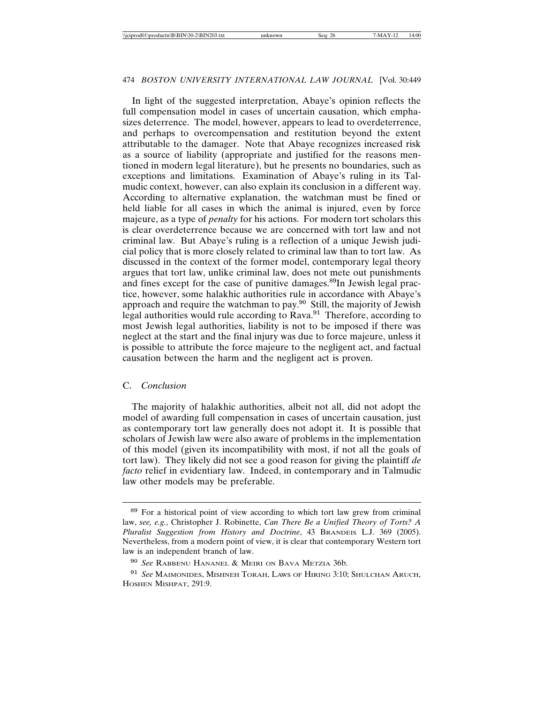In light of the suggested interpretation, Abaye's opinion reflects the full compensation model in cases of uncertain causation, which emphasizes deterrence. The model, however, appears to lead to overdeterrence, and perhaps to overcompensation and restitution beyond the extent attributable to the damager. Note that Abaye recognizes increased risk as a source of liability (appropriate and justified for the reasons mentioned in modern legal literature), but he presents no boundaries, such as exceptions and limitations. Examination of Abaye's ruling in its Talmudic context, however, can also explain its conclusion in a different way. According to alternative explanation, the watchman must be fined or held liable for all cases in which the animal is injured, even by force majeure, as a type of *penalty* for his actions. For modern tort scholars this is clear overdeterrence because we are concerned with tort law and not criminal law. But Abaye's ruling is a reflection of a unique Jewish judicial policy that is more closely related to criminal law than to tort law. As discussed in the context of the former model, contemporary legal theory argues that tort law, unlike criminal law, does not mete out punishments and fines except for the case of punitive damages.<sup>89</sup>In Jewish legal practice, however, some halakhic authorities rule in accordance with Abaye's approach and require the watchman to pay.<sup>90</sup> Still, the majority of Jewish legal authorities would rule according to Rava.<sup>91</sup> Therefore, according to most Jewish legal authorities, liability is not to be imposed if there was neglect at the start and the final injury was due to force majeure, unless it is possible to attribute the force majeure to the negligent act, and factual causation between the harm and the negligent act is proven.

### C. *Conclusion*

The majority of halakhic authorities, albeit not all, did not adopt the model of awarding full compensation in cases of uncertain causation, just as contemporary tort law generally does not adopt it. It is possible that scholars of Jewish law were also aware of problems in the implementation of this model (given its incompatibility with most, if not all the goals of tort law). They likely did not see a good reason for giving the plaintiff *de facto* relief in evidentiary law. Indeed, in contemporary and in Talmudic law other models may be preferable.

<sup>89</sup> For a historical point of view according to which tort law grew from criminal law, *see, e.g.*, Christopher J. Robinette, *Can There Be a Unified Theory of Torts? A Pluralist Suggestion from History and Doctrine*, 43 BRANDEIS L.J. 369 (2005). Nevertheless, from a modern point of view, it is clear that contemporary Western tort law is an independent branch of law.

<sup>90</sup> *See* RABBENU HANANEL & MEIRI ON BAVA METZIA 36b.

<sup>91</sup> *See* MAIMONIDES, MISHNEH TORAH, LAWS OF HIRING 3:10; SHULCHAN ARUCH, HOSHEN MISHPAT, 291:9.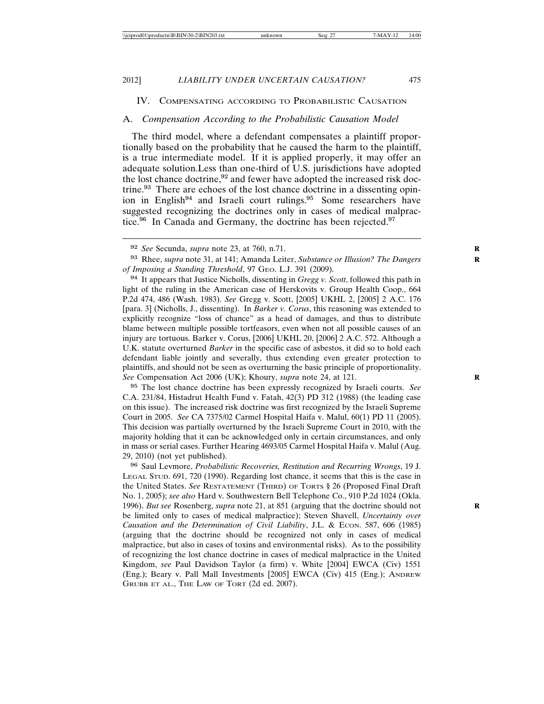### IV. COMPENSATING ACCORDING TO PROBABILISTIC CAUSATION

### A. *Compensation According to the Probabilistic Causation Model*

The third model, where a defendant compensates a plaintiff proportionally based on the probability that he caused the harm to the plaintiff, is a true intermediate model. If it is applied properly, it may offer an adequate solution.Less than one-third of U.S. jurisdictions have adopted the lost chance doctrine, $92$  and fewer have adopted the increased risk doctrine.<sup>93</sup> There are echoes of the lost chance doctrine in a dissenting opinion in English<sup>94</sup> and Israeli court rulings.<sup>95</sup> Some researchers have suggested recognizing the doctrines only in cases of medical malpractice.<sup>96</sup> In Canada and Germany, the doctrine has been rejected.<sup>97</sup>

<sup>94</sup> It appears that Justice Nicholls, dissenting in *Gregg v. Scott*, followed this path in light of the ruling in the American case of Herskovits v. Group Health Coop., 664 P.2d 474, 486 (Wash. 1983). *See* Gregg v. Scott, [2005] UKHL 2, [2005] 2 A.C. 176 [para. 3] (Nicholls, J., dissenting). In *Barker v. Corus*, this reasoning was extended to explicitly recognize "loss of chance" as a head of damages, and thus to distribute blame between multiple possible tortfeasors, even when not all possible causes of an injury are tortuous. Barker v. Corus, [2006] UKHL 20, [2006] 2 A.C. 572. Although a U.K. statute overturned *Barker* in the specific case of asbestos, it did so to hold each defendant liable jointly and severally, thus extending even greater protection to plaintiffs, and should not be seen as overturning the basic principle of proportionality. *See* Compensation Act 2006 (UK); Khoury, *supra* note 24, at 121. **R**

<sup>95</sup> The lost chance doctrine has been expressly recognized by Israeli courts. *See* C.A. 231/84, Histadrut Health Fund v. Fatah, 42(3) PD 312 (1988) (the leading case on this issue). The increased risk doctrine was first recognized by the Israeli Supreme Court in 2005. *See* CA 7375/02 Carmel Hospital Haifa v. Malul, 60(1) PD 11 (2005). This decision was partially overturned by the Israeli Supreme Court in 2010, with the majority holding that it can be acknowledged only in certain circumstances, and only in mass or serial cases. Further Hearing 4693/05 Carmel Hospital Haifa v. Malul (Aug. 29, 2010) (not yet published).

<sup>96</sup> Saul Levmore, *Probabilistic Recoveries, Restitution and Recurring Wrongs*, 19 J. LEGAL STUD. 691, 720 (1990). Regarding lost chance, it seems that this is the case in the United States. *See* RESTATEMENT (THIRD) OF TORTS § 26 (Proposed Final Draft No. 1, 2005); *see also* Hard v. Southwestern Bell Telephone Co., 910 P.2d 1024 (Okla. 1996). *But see* Rosenberg, *supra* note 21, at 851 (arguing that the doctrine should not **R** be limited only to cases of medical malpractice); Steven Shavell, *Uncertainty over Causation and the Determination of Civil Liability*, J.L. & ECON. 587, 606 (1985) (arguing that the doctrine should be recognized not only in cases of medical malpractice, but also in cases of toxins and environmental risks). As to the possibility of recognizing the lost chance doctrine in cases of medical malpractice in the United Kingdom, *see* Paul Davidson Taylor (a firm) v. White [2004] EWCA (Civ) 1551 (Eng.); Beary v. Pall Mall Investments [2005] EWCA (Civ) 415 (Eng.); ANDREW GRUBB ET AL., THE LAW OF TORT (2d ed. 2007).

<sup>92</sup> *See* Secunda, *supra* note 23, at 760, n.71. **R**

<sup>93</sup> Rhee, *supra* note 31, at 141; Amanda Leiter, *Substance or Illusion? The Dangers* **R** *of Imposing a Standing Threshold*, 97 GEO. L.J. 391 (2009).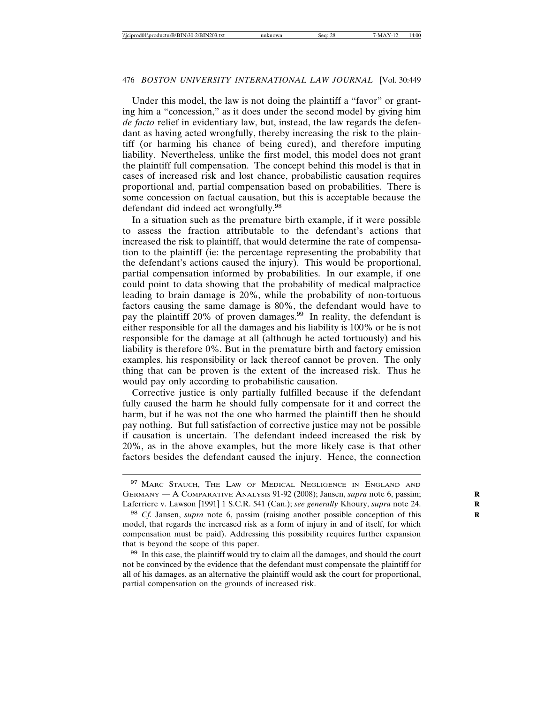Under this model, the law is not doing the plaintiff a "favor" or granting him a "concession," as it does under the second model by giving him *de facto* relief in evidentiary law, but, instead, the law regards the defendant as having acted wrongfully, thereby increasing the risk to the plaintiff (or harming his chance of being cured), and therefore imputing liability. Nevertheless, unlike the first model, this model does not grant the plaintiff full compensation. The concept behind this model is that in cases of increased risk and lost chance, probabilistic causation requires proportional and, partial compensation based on probabilities. There is some concession on factual causation, but this is acceptable because the defendant did indeed act wrongfully.<sup>98</sup>

In a situation such as the premature birth example, if it were possible to assess the fraction attributable to the defendant's actions that increased the risk to plaintiff, that would determine the rate of compensation to the plaintiff (ie: the percentage representing the probability that the defendant's actions caused the injury). This would be proportional, partial compensation informed by probabilities. In our example, if one could point to data showing that the probability of medical malpractice leading to brain damage is 20%, while the probability of non-tortuous factors causing the same damage is 80%, the defendant would have to pay the plaintiff 20% of proven damages.<sup>99</sup> In reality, the defendant is either responsible for all the damages and his liability is 100% or he is not responsible for the damage at all (although he acted tortuously) and his liability is therefore 0%. But in the premature birth and factory emission examples, his responsibility or lack thereof cannot be proven. The only thing that can be proven is the extent of the increased risk. Thus he would pay only according to probabilistic causation.

Corrective justice is only partially fulfilled because if the defendant fully caused the harm he should fully compensate for it and correct the harm, but if he was not the one who harmed the plaintiff then he should pay nothing. But full satisfaction of corrective justice may not be possible if causation is uncertain. The defendant indeed increased the risk by 20%, as in the above examples, but the more likely case is that other factors besides the defendant caused the injury. Hence, the connection

<sup>99</sup> In this case, the plaintiff would try to claim all the damages, and should the court not be convinced by the evidence that the defendant must compensate the plaintiff for all of his damages, as an alternative the plaintiff would ask the court for proportional, partial compensation on the grounds of increased risk.

<sup>&</sup>lt;sup>97</sup> MARC STAUCH, THE LAW OF MEDICAL NEGLIGENCE IN ENGLAND AND GERMANY — A COMPARATIVE ANALYSIS 91-92 (2008); Jansen, *supra* note 6, passim; **R** Laferriere v. Lawson [1991] 1 S.C.R. 541 (Can.); *see generally* Khoury, *supra* note 24.

<sup>98</sup> *Cf.* Jansen, *supra* note 6, passim (raising another possible conception of this **R** model, that regards the increased risk as a form of injury in and of itself, for which compensation must be paid). Addressing this possibility requires further expansion that is beyond the scope of this paper.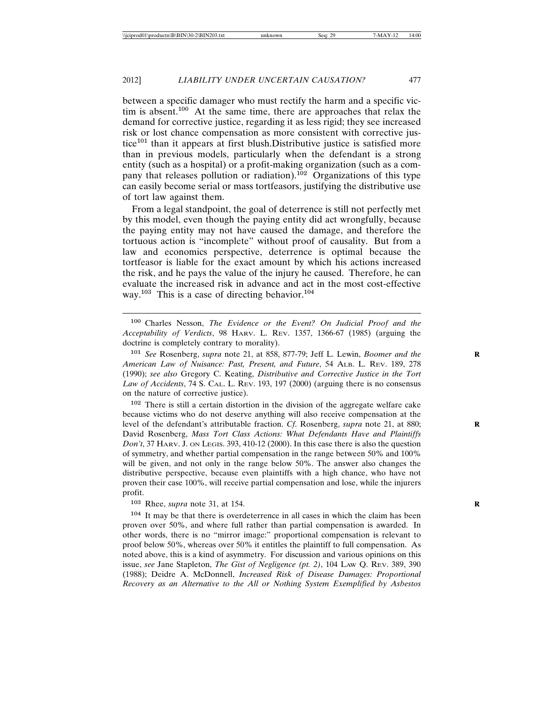between a specific damager who must rectify the harm and a specific victim is absent.<sup>100</sup> At the same time, there are approaches that relax the demand for corrective justice, regarding it as less rigid; they see increased risk or lost chance compensation as more consistent with corrective justice<sup>101</sup> than it appears at first blush.Distributive justice is satisfied more than in previous models, particularly when the defendant is a strong entity (such as a hospital) or a profit-making organization (such as a company that releases pollution or radiation).<sup>102</sup> Organizations of this type can easily become serial or mass tortfeasors, justifying the distributive use of tort law against them.

From a legal standpoint, the goal of deterrence is still not perfectly met by this model, even though the paying entity did act wrongfully, because the paying entity may not have caused the damage, and therefore the tortuous action is "incomplete" without proof of causality. But from a law and economics perspective, deterrence is optimal because the tortfeasor is liable for the exact amount by which his actions increased the risk, and he pays the value of the injury he caused. Therefore, he can evaluate the increased risk in advance and act in the most cost-effective way.<sup>103</sup> This is a case of directing behavior.<sup>104</sup>

<sup>100</sup> Charles Nesson, *The Evidence or the Event? On Judicial Proof and the Acceptability of Verdicts*, 98 HARV. L. REV. 1357, 1366-67 (1985) (arguing the doctrine is completely contrary to morality).

<sup>101</sup> *See* Rosenberg, *supra* note 21, at 858, 877-79; Jeff L. Lewin, *Boomer and the American Law of Nuisance: Past, Present, and Future*, 54 ALB. L. REV. 189, 278 (1990); *see also* Gregory C. Keating, *Distributive and Corrective Justice in the Tort Law of Accidents*, 74 S. CAL. L. REV. 193, 197 (2000) (arguing there is no consensus on the nature of corrective justice).

<sup>102</sup> There is still a certain distortion in the division of the aggregate welfare cake because victims who do not deserve anything will also receive compensation at the level of the defendant's attributable fraction. *Cf.* Rosenberg, *supra* note 21, at 880; David Rosenberg, *Mass Tort Class Actions: What Defendants Have and Plaintiffs Don't*, 37 HARV. J. ON LEGIS. 393, 410-12 (2000). In this case there is also the question of symmetry, and whether partial compensation in the range between 50% and 100% will be given, and not only in the range below 50%. The answer also changes the distributive perspective, because even plaintiffs with a high chance, who have not proven their case 100%, will receive partial compensation and lose, while the injurers profit.

<sup>103</sup> Rhee, *supra* note 31, at 154. **R**

<sup>104</sup> It may be that there is overdeterrence in all cases in which the claim has been proven over 50%, and where full rather than partial compensation is awarded. In other words, there is no "mirror image:" proportional compensation is relevant to proof below 50%, whereas over 50% it entitles the plaintiff to full compensation. As noted above, this is a kind of asymmetry. For discussion and various opinions on this issue, *see* Jane Stapleton, *The Gist of Negligence (pt. 2)*, 104 LAW Q. REV. 389, 390 (1988); Deidre A. McDonnell, *Increased Risk of Disease Damages: Proportional Recovery as an Alternative to the All or Nothing System Exemplified by Asbestos*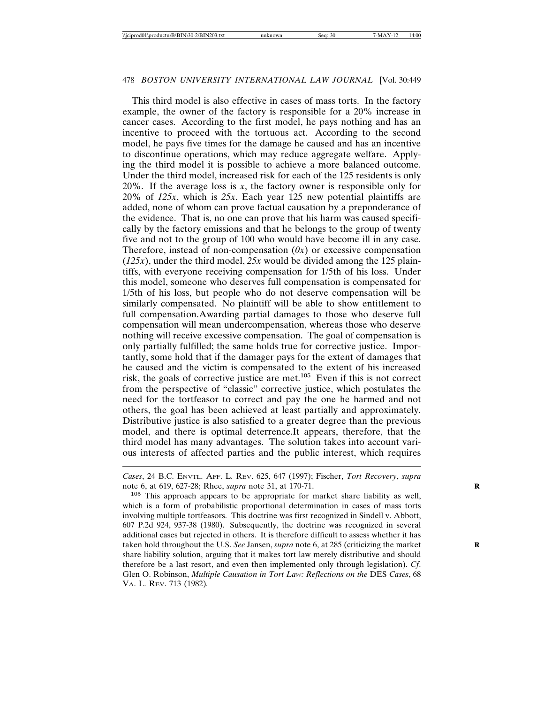This third model is also effective in cases of mass torts. In the factory example, the owner of the factory is responsible for a 20% increase in cancer cases. According to the first model, he pays nothing and has an incentive to proceed with the tortuous act. According to the second model, he pays five times for the damage he caused and has an incentive to discontinue operations, which may reduce aggregate welfare. Applying the third model it is possible to achieve a more balanced outcome. Under the third model, increased risk for each of the 125 residents is only 20%. If the average loss is *x*, the factory owner is responsible only for 20% of *125x*, which is *25x*. Each year 125 new potential plaintiffs are added, none of whom can prove factual causation by a preponderance of the evidence. That is, no one can prove that his harm was caused specifically by the factory emissions and that he belongs to the group of twenty five and not to the group of 100 who would have become ill in any case. Therefore, instead of non-compensation  $(0x)$  or excessive compensation (*125x*), under the third model, *25x* would be divided among the 125 plaintiffs, with everyone receiving compensation for 1/5th of his loss. Under this model, someone who deserves full compensation is compensated for 1/5th of his loss, but people who do not deserve compensation will be similarly compensated. No plaintiff will be able to show entitlement to full compensation.Awarding partial damages to those who deserve full compensation will mean undercompensation, whereas those who deserve nothing will receive excessive compensation. The goal of compensation is only partially fulfilled; the same holds true for corrective justice. Importantly, some hold that if the damager pays for the extent of damages that he caused and the victim is compensated to the extent of his increased risk, the goals of corrective justice are met.<sup>105</sup> Even if this is not correct from the perspective of "classic" corrective justice, which postulates the need for the tortfeasor to correct and pay the one he harmed and not others, the goal has been achieved at least partially and approximately. Distributive justice is also satisfied to a greater degree than the previous model, and there is optimal deterrence.It appears, therefore, that the third model has many advantages. The solution takes into account various interests of affected parties and the public interest, which requires

*Cases*, 24 B.C. ENVTL. AFF. L. REV. 625, 647 (1997); Fischer, *Tort Recovery*, *supra* note 6, at 619, 627-28; Rhee, *supra* note 31, at 170-71. **R**

<sup>105</sup> This approach appears to be appropriate for market share liability as well, which is a form of probabilistic proportional determination in cases of mass torts involving multiple tortfeasors. This doctrine was first recognized in Sindell v. Abbott, 607 P.2d 924, 937-38 (1980). Subsequently, the doctrine was recognized in several additional cases but rejected in others. It is therefore difficult to assess whether it has taken hold throughout the U.S. *See* Jansen, *supra* note 6, at 285 (criticizing the market share liability solution, arguing that it makes tort law merely distributive and should therefore be a last resort, and even then implemented only through legislation). *Cf*. Glen O. Robinson, *Multiple Causation in Tort Law: Reflections on the DES Cases*, 68 VA. L. REV. 713 (1982)*.*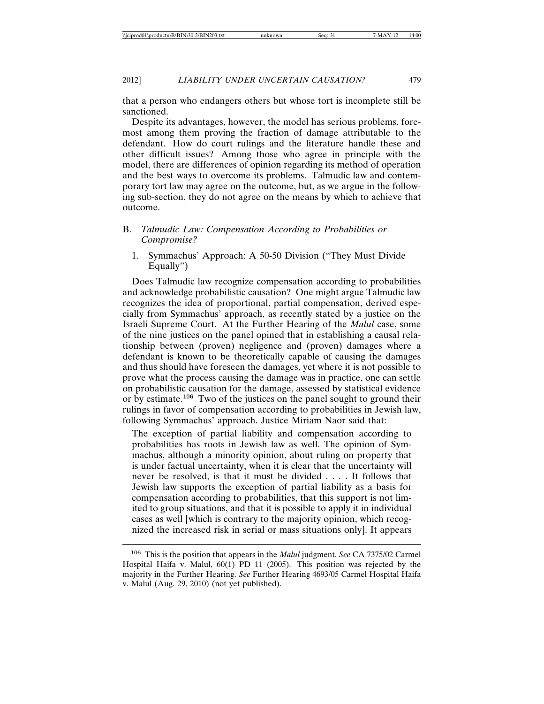that a person who endangers others but whose tort is incomplete still be sanctioned.

Despite its advantages, however, the model has serious problems, foremost among them proving the fraction of damage attributable to the defendant. How do court rulings and the literature handle these and other difficult issues? Among those who agree in principle with the model, there are differences of opinion regarding its method of operation and the best ways to overcome its problems. Talmudic law and contemporary tort law may agree on the outcome, but, as we argue in the following sub-section, they do not agree on the means by which to achieve that outcome.

### B. *Talmudic Law: Compensation According to Probabilities or Compromise?*

1. Symmachus' Approach: A 50-50 Division ("They Must Divide Equally")

Does Talmudic law recognize compensation according to probabilities and acknowledge probabilistic causation? One might argue Talmudic law recognizes the idea of proportional, partial compensation, derived especially from Symmachus' approach, as recently stated by a justice on the Israeli Supreme Court. At the Further Hearing of the *Malul* case, some of the nine justices on the panel opined that in establishing a causal relationship between (proven) negligence and (proven) damages where a defendant is known to be theoretically capable of causing the damages and thus should have foreseen the damages, yet where it is not possible to prove what the process causing the damage was in practice, one can settle on probabilistic causation for the damage, assessed by statistical evidence or by estimate.<sup>106</sup> Two of the justices on the panel sought to ground their rulings in favor of compensation according to probabilities in Jewish law, following Symmachus' approach. Justice Miriam Naor said that:

The exception of partial liability and compensation according to probabilities has roots in Jewish law as well. The opinion of Symmachus, although a minority opinion, about ruling on property that is under factual uncertainty, when it is clear that the uncertainty will never be resolved, is that it must be divided . . . . It follows that Jewish law supports the exception of partial liability as a basis for compensation according to probabilities, that this support is not limited to group situations, and that it is possible to apply it in individual cases as well [which is contrary to the majority opinion, which recognized the increased risk in serial or mass situations only]. It appears

<sup>106</sup> This is the position that appears in the *Malul* judgment. *See* CA 7375/02 Carmel Hospital Haifa v. Malul, 60(1) PD 11 (2005). This position was rejected by the majority in the Further Hearing. *See* Further Hearing 4693/05 Carmel Hospital Haifa v. Malul (Aug. 29, 2010) (not yet published).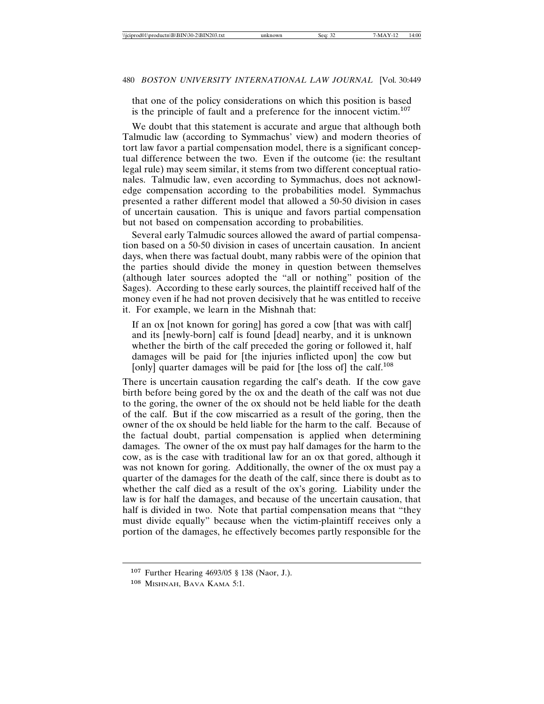that one of the policy considerations on which this position is based is the principle of fault and a preference for the innocent victim.<sup>107</sup>

We doubt that this statement is accurate and argue that although both Talmudic law (according to Symmachus' view) and modern theories of tort law favor a partial compensation model, there is a significant conceptual difference between the two. Even if the outcome (ie: the resultant legal rule) may seem similar, it stems from two different conceptual rationales. Talmudic law, even according to Symmachus, does not acknowledge compensation according to the probabilities model. Symmachus presented a rather different model that allowed a 50-50 division in cases of uncertain causation. This is unique and favors partial compensation but not based on compensation according to probabilities.

Several early Talmudic sources allowed the award of partial compensation based on a 50-50 division in cases of uncertain causation. In ancient days, when there was factual doubt, many rabbis were of the opinion that the parties should divide the money in question between themselves (although later sources adopted the "all or nothing" position of the Sages). According to these early sources, the plaintiff received half of the money even if he had not proven decisively that he was entitled to receive it. For example, we learn in the Mishnah that:

If an ox [not known for goring] has gored a cow [that was with calf] and its [newly-born] calf is found [dead] nearby, and it is unknown whether the birth of the calf preceded the goring or followed it, half damages will be paid for [the injuries inflicted upon] the cow but [only] quarter damages will be paid for [the loss of] the calf.<sup>108</sup>

There is uncertain causation regarding the calf's death. If the cow gave birth before being gored by the ox and the death of the calf was not due to the goring, the owner of the ox should not be held liable for the death of the calf. But if the cow miscarried as a result of the goring, then the owner of the ox should be held liable for the harm to the calf. Because of the factual doubt, partial compensation is applied when determining damages. The owner of the ox must pay half damages for the harm to the cow, as is the case with traditional law for an ox that gored, although it was not known for goring. Additionally, the owner of the ox must pay a quarter of the damages for the death of the calf, since there is doubt as to whether the calf died as a result of the ox's goring. Liability under the law is for half the damages, and because of the uncertain causation, that half is divided in two. Note that partial compensation means that "they must divide equally" because when the victim-plaintiff receives only a portion of the damages, he effectively becomes partly responsible for the

<sup>107</sup> Further Hearing 4693/05 § 138 (Naor, J.).

<sup>108</sup> MISHNAH, BAVA KAMA 5:1.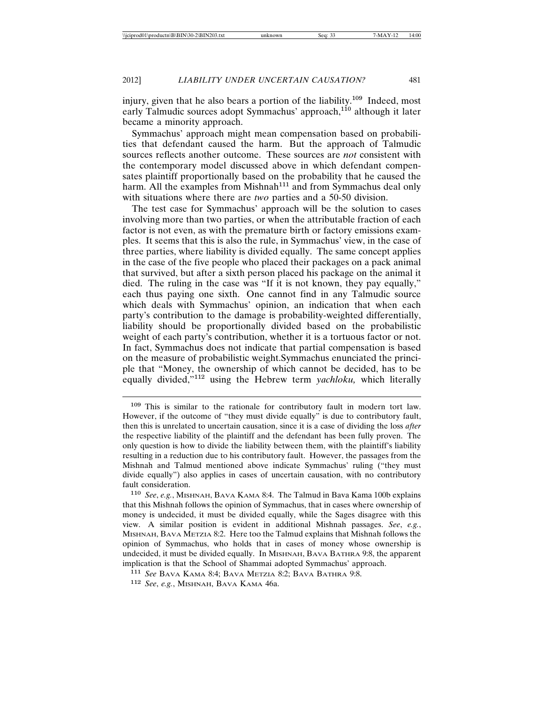injury, given that he also bears a portion of the liability.<sup>109</sup> Indeed, most early Talmudic sources adopt Symmachus' approach,<sup>110</sup> although it later became a minority approach.

Symmachus' approach might mean compensation based on probabilities that defendant caused the harm. But the approach of Talmudic sources reflects another outcome. These sources are *not* consistent with the contemporary model discussed above in which defendant compensates plaintiff proportionally based on the probability that he caused the harm. All the examples from Mishnah<sup>111</sup> and from Symmachus deal only with situations where there are *two* parties and a 50-50 division.

The test case for Symmachus' approach will be the solution to cases involving more than two parties, or when the attributable fraction of each factor is not even, as with the premature birth or factory emissions examples. It seems that this is also the rule, in Symmachus' view, in the case of three parties, where liability is divided equally. The same concept applies in the case of the five people who placed their packages on a pack animal that survived, but after a sixth person placed his package on the animal it died. The ruling in the case was "If it is not known, they pay equally," each thus paying one sixth. One cannot find in any Talmudic source which deals with Symmachus' opinion, an indication that when each party's contribution to the damage is probability-weighted differentially, liability should be proportionally divided based on the probabilistic weight of each party's contribution, whether it is a tortuous factor or not. In fact, Symmachus does not indicate that partial compensation is based on the measure of probabilistic weight.Symmachus enunciated the principle that "Money, the ownership of which cannot be decided, has to be equally divided,"<sup>112</sup> using the Hebrew term *yachloku,* which literally

<sup>109</sup> This is similar to the rationale for contributory fault in modern tort law. However, if the outcome of "they must divide equally" is due to contributory fault, then this is unrelated to uncertain causation, since it is a case of dividing the loss *after* the respective liability of the plaintiff and the defendant has been fully proven. The only question is how to divide the liability between them, with the plaintiff's liability resulting in a reduction due to his contributory fault. However, the passages from the Mishnah and Talmud mentioned above indicate Symmachus' ruling ("they must divide equally") also applies in cases of uncertain causation, with no contributory fault consideration.

<sup>110</sup> *See*, *e.g.*, MISHNAH, BAVA KAMA 8:4. The Talmud in Bava Kama 100b explains that this Mishnah follows the opinion of Symmachus, that in cases where ownership of money is undecided, it must be divided equally, while the Sages disagree with this view. A similar position is evident in additional Mishnah passages. *See*, *e.g.*, MISHNAH, BAVA METZIA 8:2. Here too the Talmud explains that Mishnah follows the opinion of Symmachus, who holds that in cases of money whose ownership is undecided, it must be divided equally. In MISHNAH, BAVA BATHRA 9:8, the apparent implication is that the School of Shammai adopted Symmachus' approach.

<sup>111</sup> *See* BAVA KAMA 8:4; BAVA METZIA 8:2; BAVA BATHRA 9:8.

<sup>112</sup> *See*, *e.g.*, MISHNAH, BAVA KAMA 46a.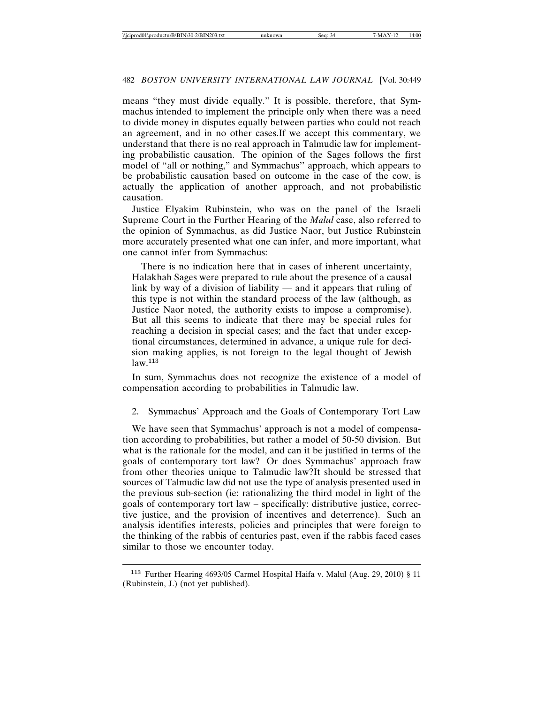means "they must divide equally." It is possible, therefore, that Symmachus intended to implement the principle only when there was a need to divide money in disputes equally between parties who could not reach an agreement, and in no other cases.If we accept this commentary, we understand that there is no real approach in Talmudic law for implementing probabilistic causation. The opinion of the Sages follows the first model of "all or nothing," and Symmachus'' approach, which appears to be probabilistic causation based on outcome in the case of the cow, is actually the application of another approach, and not probabilistic causation.

Justice Elyakim Rubinstein, who was on the panel of the Israeli Supreme Court in the Further Hearing of the *Malul* case, also referred to the opinion of Symmachus, as did Justice Naor, but Justice Rubinstein more accurately presented what one can infer, and more important, what one cannot infer from Symmachus:

There is no indication here that in cases of inherent uncertainty, Halakhah Sages were prepared to rule about the presence of a causal link by way of a division of liability — and it appears that ruling of this type is not within the standard process of the law (although, as Justice Naor noted, the authority exists to impose a compromise). But all this seems to indicate that there may be special rules for reaching a decision in special cases; and the fact that under exceptional circumstances, determined in advance, a unique rule for decision making applies, is not foreign to the legal thought of Jewish  $law<sup>113</sup>$ 

In sum, Symmachus does not recognize the existence of a model of compensation according to probabilities in Talmudic law.

### 2. Symmachus' Approach and the Goals of Contemporary Tort Law

We have seen that Symmachus' approach is not a model of compensation according to probabilities, but rather a model of 50-50 division. But what is the rationale for the model, and can it be justified in terms of the goals of contemporary tort law? Or does Symmachus' approach fraw from other theories unique to Talmudic law?It should be stressed that sources of Talmudic law did not use the type of analysis presented used in the previous sub-section (ie: rationalizing the third model in light of the goals of contemporary tort law – specifically: distributive justice, corrective justice, and the provision of incentives and deterrence). Such an analysis identifies interests, policies and principles that were foreign to the thinking of the rabbis of centuries past, even if the rabbis faced cases similar to those we encounter today.

<sup>113</sup> Further Hearing 4693/05 Carmel Hospital Haifa v. Malul (Aug. 29, 2010) § 11 (Rubinstein, J.) (not yet published).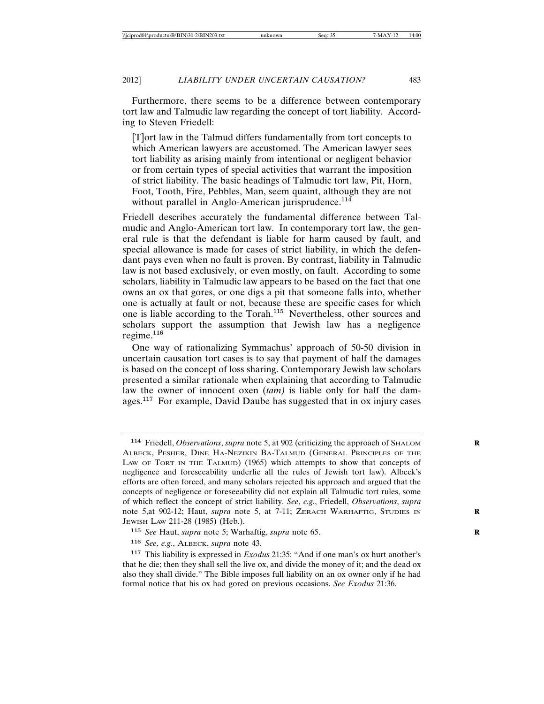Furthermore, there seems to be a difference between contemporary tort law and Talmudic law regarding the concept of tort liability. According to Steven Friedell:

[T]ort law in the Talmud differs fundamentally from tort concepts to which American lawyers are accustomed. The American lawyer sees tort liability as arising mainly from intentional or negligent behavior or from certain types of special activities that warrant the imposition of strict liability. The basic headings of Talmudic tort law, Pit, Horn, Foot, Tooth, Fire, Pebbles, Man, seem quaint, although they are not without parallel in Anglo-American jurisprudence.<sup>114</sup>

Friedell describes accurately the fundamental difference between Talmudic and Anglo-American tort law. In contemporary tort law, the general rule is that the defendant is liable for harm caused by fault, and special allowance is made for cases of strict liability, in which the defendant pays even when no fault is proven. By contrast, liability in Talmudic law is not based exclusively, or even mostly, on fault. According to some scholars, liability in Talmudic law appears to be based on the fact that one owns an ox that gores, or one digs a pit that someone falls into, whether one is actually at fault or not, because these are specific cases for which one is liable according to the Torah.<sup>115</sup> Nevertheless, other sources and scholars support the assumption that Jewish law has a negligence regime.<sup>116</sup>

One way of rationalizing Symmachus' approach of 50-50 division in uncertain causation tort cases is to say that payment of half the damages is based on the concept of loss sharing. Contemporary Jewish law scholars presented a similar rationale when explaining that according to Talmudic law the owner of innocent oxen (*tam)* is liable only for half the damages.<sup>117</sup> For example, David Daube has suggested that in ox injury cases

<sup>114</sup> Friedell, *Observations*, *supra* note 5, at 902 (criticizing the approach of SHALOM **R** ALBECK, PESHER, DINE HA-NEZIKIN BA-TALMUD (GENERAL PRINCIPLES OF THE LAW OF TORT IN THE TALMUD) (1965) which attempts to show that concepts of negligence and foreseeability underlie all the rules of Jewish tort law). Albeck's efforts are often forced, and many scholars rejected his approach and argued that the concepts of negligence or foreseeability did not explain all Talmudic tort rules, some of which reflect the concept of strict liability. *See*, *e.g.*, Friedell, *Observations*, *supra* note 5,at 902-12; Haut, *supra* note 5, at 7-11; ZERACH WARHAFTIG, STUDIES IN **R** JEWISH LAW 211-28 (1985) (Heb.).

<sup>115</sup> *See* Haut, *supra* note 5; Warhaftig, *supra* note 65. **R**

<sup>116</sup> *See*, *e.g.*, ALBECK, *supra* note 43.

<sup>117</sup> This liability is expressed in *Exodus* 21:35: "And if one man's ox hurt another's that he die; then they shall sell the live ox, and divide the money of it; and the dead ox also they shall divide." The Bible imposes full liability on an ox owner only if he had formal notice that his ox had gored on previous occasions. *See Exodus* 21:36.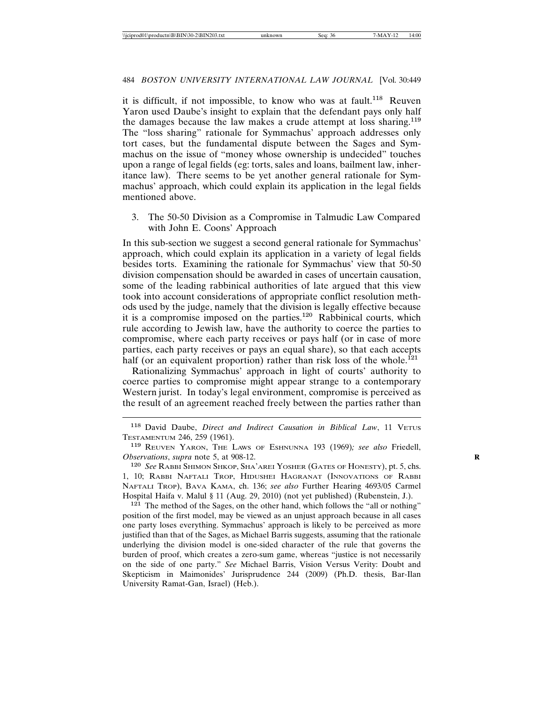it is difficult, if not impossible, to know who was at fault.<sup>118</sup> Reuven Yaron used Daube's insight to explain that the defendant pays only half the damages because the law makes a crude attempt at loss sharing.<sup>119</sup> The "loss sharing" rationale for Symmachus' approach addresses only tort cases, but the fundamental dispute between the Sages and Symmachus on the issue of "money whose ownership is undecided" touches upon a range of legal fields (eg: torts, sales and loans, bailment law, inheritance law). There seems to be yet another general rationale for Symmachus' approach, which could explain its application in the legal fields mentioned above.

3. The 50-50 Division as a Compromise in Talmudic Law Compared with John E. Coons' Approach

In this sub-section we suggest a second general rationale for Symmachus' approach, which could explain its application in a variety of legal fields besides torts. Examining the rationale for Symmachus' view that 50-50 division compensation should be awarded in cases of uncertain causation, some of the leading rabbinical authorities of late argued that this view took into account considerations of appropriate conflict resolution methods used by the judge, namely that the division is legally effective because it is a compromise imposed on the parties.<sup>120</sup> Rabbinical courts, which rule according to Jewish law, have the authority to coerce the parties to compromise, where each party receives or pays half (or in case of more parties, each party receives or pays an equal share), so that each accepts half (or an equivalent proportion) rather than risk loss of the whole.<sup>121</sup>

Rationalizing Symmachus' approach in light of courts' authority to coerce parties to compromise might appear strange to a contemporary Western jurist. In today's legal environment, compromise is perceived as the result of an agreement reached freely between the parties rather than

<sup>121</sup> The method of the Sages, on the other hand, which follows the "all or nothing" position of the first model, may be viewed as an unjust approach because in all cases one party loses everything. Symmachus' approach is likely to be perceived as more justified than that of the Sages, as Michael Barris suggests, assuming that the rationale underlying the division model is one-sided character of the rule that governs the burden of proof, which creates a zero-sum game, whereas "justice is not necessarily on the side of one party." *See* Michael Barris, Vision Versus Verity: Doubt and Skepticism in Maimonides' Jurisprudence 244 (2009) (Ph.D. thesis, Bar-Ilan University Ramat-Gan, Israel) (Heb.).

<sup>&</sup>lt;sup>118</sup> David Daube, *Direct and Indirect Causation in Biblical Law*, 11 VETUS TESTAMENTUM 246, 259 (1961).

<sup>119</sup> REUVEN YARON, THE LAWS OF ESHNUNNA 193 (1969)*; see also* Friedell, *Observations*, *supra* note 5, at 908-12. **R**

<sup>120</sup> *See* RABBI SHIMON SHKOP, SHA'AREI YOSHER (GATES OF HONESTY), pt. 5, chs. 1, 10; RABBI NAFTALI TROP, HIDUSHEI HAGRANAT (INNOVATIONS OF RABBI NAFTALI TROP), BAVA KAMA, ch. 136; *see also* Further Hearing 4693/05 Carmel Hospital Haifa v. Malul § 11 (Aug. 29, 2010) (not yet published) (Rubenstein, J.).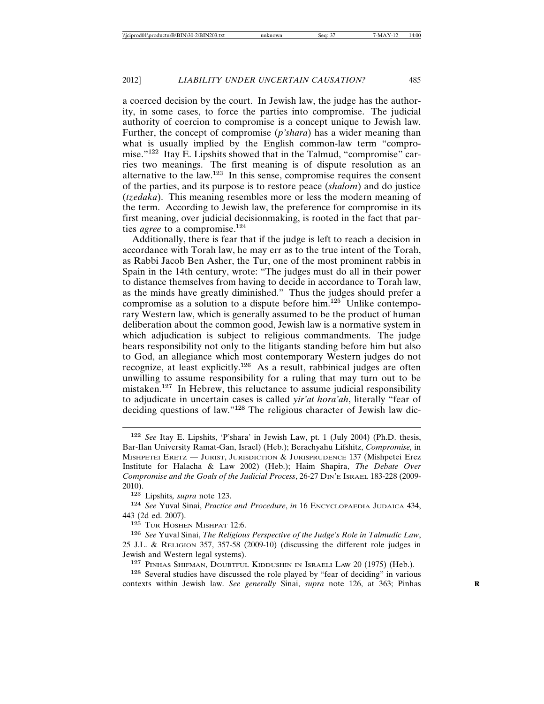a coerced decision by the court. In Jewish law, the judge has the authority, in some cases, to force the parties into compromise. The judicial authority of coercion to compromise is a concept unique to Jewish law. Further, the concept of compromise (*p'shara*) has a wider meaning than what is usually implied by the English common-law term "compromise."<sup>122</sup> Itay E. Lipshits showed that in the Talmud, "compromise" carries two meanings. The first meaning is of dispute resolution as an alternative to the law.<sup>123</sup> In this sense, compromise requires the consent of the parties, and its purpose is to restore peace (*shalom*) and do justice (*tzedaka*). This meaning resembles more or less the modern meaning of the term. According to Jewish law, the preference for compromise in its first meaning, over judicial decisionmaking, is rooted in the fact that parties *agree* to a compromise.<sup>124</sup>

Additionally, there is fear that if the judge is left to reach a decision in accordance with Torah law, he may err as to the true intent of the Torah, as Rabbi Jacob Ben Asher, the Tur, one of the most prominent rabbis in Spain in the 14th century, wrote: "The judges must do all in their power to distance themselves from having to decide in accordance to Torah law, as the minds have greatly diminished." Thus the judges should prefer a compromise as a solution to a dispute before him.<sup>125</sup> Unlike contemporary Western law, which is generally assumed to be the product of human deliberation about the common good, Jewish law is a normative system in which adjudication is subject to religious commandments. The judge bears responsibility not only to the litigants standing before him but also to God, an allegiance which most contemporary Western judges do not recognize, at least explicitly.<sup>126</sup> As a result, rabbinical judges are often unwilling to assume responsibility for a ruling that may turn out to be mistaken.<sup>127</sup> In Hebrew, this reluctance to assume judicial responsibility to adjudicate in uncertain cases is called *yir'at hora'ah*, literally "fear of deciding questions of law."<sup>128</sup> The religious character of Jewish law dic-

<sup>123</sup> Lipshits*, supra* note 123.

<sup>124</sup> *See* Yuval Sinai, *Practice and Procedure*, *in* 16 ENCYCLOPAEDIA JUDAICA 434, 443 (2d ed. 2007).

<sup>125</sup> TUR HOSHEN MISHPAT 12:6.

<sup>126</sup> *See* Yuval Sinai, *The Religious Perspective of the Judge's Role in Talmudic Law*, 25 J.L. & RELIGION 357, 357-58 (2009-10) (discussing the different role judges in Jewish and Western legal systems).

<sup>127</sup> PINHAS SHIFMAN, DOUBTFUL KIDDUSHIN IN ISRAELI LAW 20 (1975) (Heb.).

<sup>128</sup> Several studies have discussed the role played by "fear of deciding" in various contexts within Jewish law. See generally Sinai, *supra* note 126, at 363; Pinhas

<sup>122</sup> *See* Itay E. Lipshits, 'P'shara' in Jewish Law, pt. 1 (July 2004) (Ph.D. thesis, Bar-Ilan University Ramat-Gan, Israel) (Heb.); Berachyahu Lifshitz, *Compromise,* in MISHPETEI ERETZ — JURIST, JURISDICTION & JURISPRUDENCE 137 (Mishpetei Erez Institute for Halacha & Law 2002) (Heb.); Haim Shapira, *The Debate Over Compromise and the Goals of the Judicial Process*, 26-27 DIN'E ISRAEL 183-228 (2009- 2010).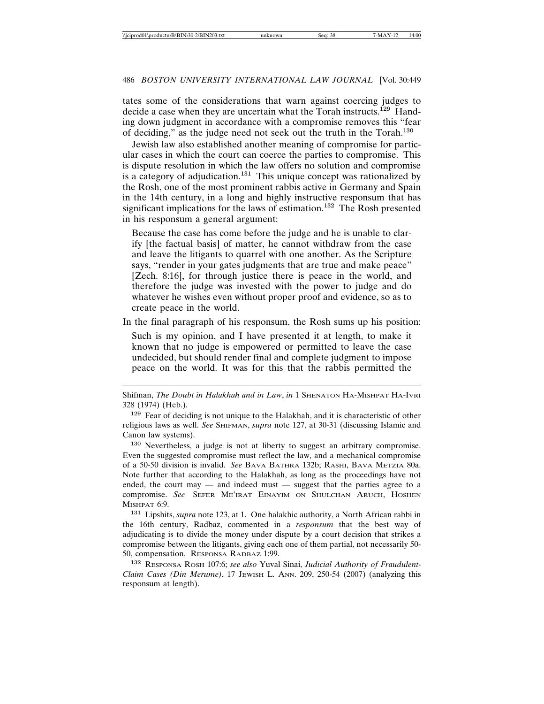tates some of the considerations that warn against coercing judges to decide a case when they are uncertain what the Torah instructs.<sup>129</sup> Handing down judgment in accordance with a compromise removes this "fear of deciding," as the judge need not seek out the truth in the Torah.<sup>130</sup>

Jewish law also established another meaning of compromise for particular cases in which the court can coerce the parties to compromise. This is dispute resolution in which the law offers no solution and compromise is a category of adjudication.<sup>131</sup> This unique concept was rationalized by the Rosh, one of the most prominent rabbis active in Germany and Spain in the 14th century, in a long and highly instructive responsum that has significant implications for the laws of estimation.<sup>132</sup> The Rosh presented in his responsum a general argument:

Because the case has come before the judge and he is unable to clarify [the factual basis] of matter, he cannot withdraw from the case and leave the litigants to quarrel with one another. As the Scripture says, "render in your gates judgments that are true and make peace" [Zech. 8:16], for through justice there is peace in the world, and therefore the judge was invested with the power to judge and do whatever he wishes even without proper proof and evidence, so as to create peace in the world.

In the final paragraph of his responsum, the Rosh sums up his position:

Such is my opinion, and I have presented it at length, to make it known that no judge is empowered or permitted to leave the case undecided, but should render final and complete judgment to impose peace on the world. It was for this that the rabbis permitted the

<sup>130</sup> Nevertheless, a judge is not at liberty to suggest an arbitrary compromise. Even the suggested compromise must reflect the law, and a mechanical compromise of a 50-50 division is invalid. *See* BAVA BATHRA 132b; RASHI, BAVA METZIA 80a. Note further that according to the Halakhah, as long as the proceedings have not ended, the court may — and indeed must — suggest that the parties agree to a compromise. *See* SEFER ME'IRAT EINAYIM ON SHULCHAN ARUCH, HOSHEN MISHPAT 6:9.

<sup>131</sup> Lipshits, *supra* note 123, at 1. One halakhic authority, a North African rabbi in the 16th century, Radbaz, commented in a *responsum* that the best way of adjudicating is to divide the money under dispute by a court decision that strikes a compromise between the litigants, giving each one of them partial, not necessarily 50- 50, compensation. RESPONSA RADBAZ 1:99.

<sup>132</sup> RESPONSA ROSH 107:6; *see also* Yuval Sinai, *Judicial Authority of Fraudulent-Claim Cases (Din Merume)*, 17 JEWISH L. ANN. 209, 250-54 (2007) (analyzing this responsum at length).

Shifman, *The Doubt in Halakhah and in Law*, *in* 1 SHENATON HA-MISHPAT HA-IVRI 328 (1974) (Heb.).

<sup>129</sup> Fear of deciding is not unique to the Halakhah, and it is characteristic of other religious laws as well. *See* SHIFMAN, *supra* note 127, at 30-31 (discussing Islamic and Canon law systems).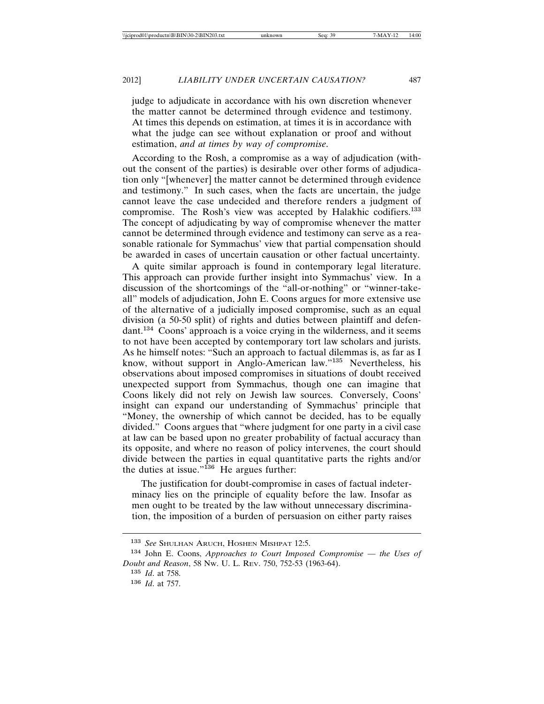judge to adjudicate in accordance with his own discretion whenever the matter cannot be determined through evidence and testimony. At times this depends on estimation, at times it is in accordance with what the judge can see without explanation or proof and without estimation, *and at times by way of compromise*.

According to the Rosh, a compromise as a way of adjudication (without the consent of the parties) is desirable over other forms of adjudication only "[whenever] the matter cannot be determined through evidence and testimony." In such cases, when the facts are uncertain, the judge cannot leave the case undecided and therefore renders a judgment of compromise. The Rosh's view was accepted by Halakhic codifiers.<sup>133</sup> The concept of adjudicating by way of compromise whenever the matter cannot be determined through evidence and testimony can serve as a reasonable rationale for Symmachus' view that partial compensation should be awarded in cases of uncertain causation or other factual uncertainty.

A quite similar approach is found in contemporary legal literature. This approach can provide further insight into Symmachus' view. In a discussion of the shortcomings of the "all-or-nothing" or "winner-takeall" models of adjudication, John E. Coons argues for more extensive use of the alternative of a judicially imposed compromise, such as an equal division (a 50-50 split) of rights and duties between plaintiff and defendant.<sup>134</sup> Coons' approach is a voice crying in the wilderness, and it seems to not have been accepted by contemporary tort law scholars and jurists. As he himself notes: "Such an approach to factual dilemmas is, as far as I know, without support in Anglo-American law."<sup>135</sup> Nevertheless, his observations about imposed compromises in situations of doubt received unexpected support from Symmachus, though one can imagine that Coons likely did not rely on Jewish law sources. Conversely, Coons' insight can expand our understanding of Symmachus' principle that "Money, the ownership of which cannot be decided, has to be equally divided." Coons argues that "where judgment for one party in a civil case at law can be based upon no greater probability of factual accuracy than its opposite, and where no reason of policy intervenes, the court should divide between the parties in equal quantitative parts the rights and/or the duties at issue." $136$  He argues further:

The justification for doubt-compromise in cases of factual indeterminacy lies on the principle of equality before the law. Insofar as men ought to be treated by the law without unnecessary discrimination, the imposition of a burden of persuasion on either party raises

<sup>133</sup> *See* SHULHAN ARUCH, HOSHEN MISHPAT 12:5.

<sup>134</sup> John E. Coons, *Approaches to Court Imposed Compromise* — *the Uses of Doubt and Reason*, 58 NW. U. L. REV. 750, 752-53 (1963-64).

<sup>135</sup> *Id*. at 758.

<sup>136</sup> *Id*. at 757.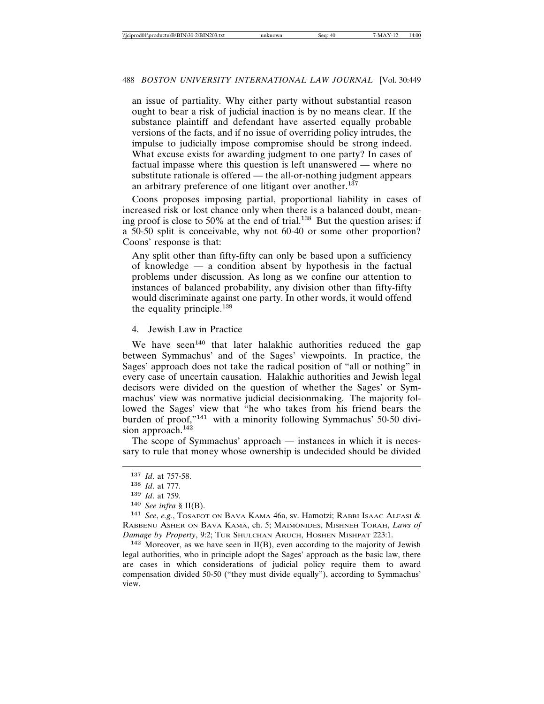an issue of partiality. Why either party without substantial reason ought to bear a risk of judicial inaction is by no means clear. If the substance plaintiff and defendant have asserted equally probable versions of the facts, and if no issue of overriding policy intrudes, the impulse to judicially impose compromise should be strong indeed. What excuse exists for awarding judgment to one party? In cases of factual impasse where this question is left unanswered — where no substitute rationale is offered — the all-or-nothing judgment appears an arbitrary preference of one litigant over another.<sup>137</sup>

Coons proposes imposing partial, proportional liability in cases of increased risk or lost chance only when there is a balanced doubt, meaning proof is close to 50% at the end of trial.<sup>138</sup> But the question arises: if a 50-50 split is conceivable, why not 60-40 or some other proportion? Coons' response is that:

Any split other than fifty-fifty can only be based upon a sufficiency of knowledge — a condition absent by hypothesis in the factual problems under discussion. As long as we confine our attention to instances of balanced probability, any division other than fifty-fifty would discriminate against one party. In other words, it would offend the equality principle.<sup>139</sup>

### 4. Jewish Law in Practice

We have seen<sup>140</sup> that later halakhic authorities reduced the gap between Symmachus' and of the Sages' viewpoints. In practice, the Sages' approach does not take the radical position of "all or nothing" in every case of uncertain causation. Halakhic authorities and Jewish legal decisors were divided on the question of whether the Sages' or Symmachus' view was normative judicial decisionmaking. The majority followed the Sages' view that "he who takes from his friend bears the burden of proof,"<sup>141</sup> with a minority following Symmachus' 50-50 division approach.<sup>142</sup>

The scope of Symmachus' approach — instances in which it is necessary to rule that money whose ownership is undecided should be divided

 $142$  Moreover, as we have seen in II(B), even according to the majority of Jewish legal authorities, who in principle adopt the Sages' approach as the basic law, there are cases in which considerations of judicial policy require them to award compensation divided 50-50 ("they must divide equally"), according to Symmachus' view.

<sup>137</sup> *Id*. at 757-58.

<sup>138</sup> *Id*. at 777.

<sup>139</sup> *Id*. at 759.

<sup>140</sup> *See infra* § II(B).

<sup>141</sup> *See*, *e.g.*, TOSAFOT ON BAVA KAMA 46a, sv. Hamotzi; RABBI ISAAC ALFASI & RABBENU ASHER ON BAVA KAMA, ch. 5; MAIMONIDES, MISHNEH TORAH, *Laws of Damage by Property*, 9:2; TUR SHULCHAN ARUCH, HOSHEN MISHPAT 223:1.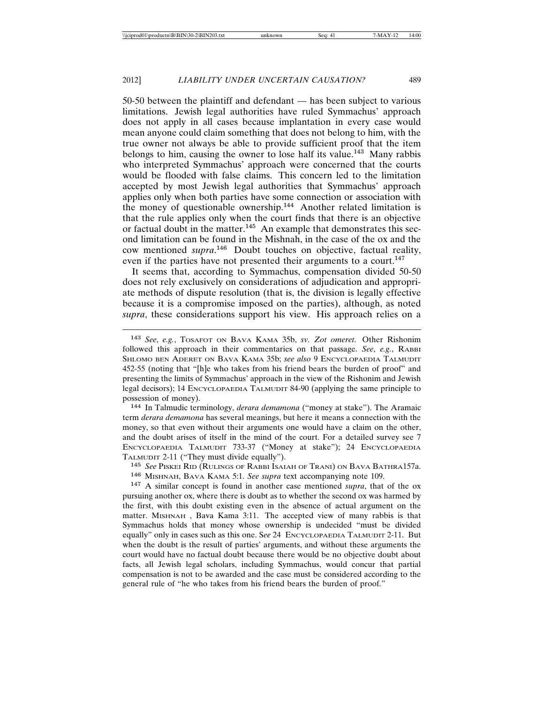50-50 between the plaintiff and defendant — has been subject to various limitations. Jewish legal authorities have ruled Symmachus' approach does not apply in all cases because implantation in every case would mean anyone could claim something that does not belong to him, with the true owner not always be able to provide sufficient proof that the item belongs to him, causing the owner to lose half its value.<sup>143</sup> Many rabbis who interpreted Symmachus' approach were concerned that the courts would be flooded with false claims. This concern led to the limitation accepted by most Jewish legal authorities that Symmachus' approach applies only when both parties have some connection or association with the money of questionable ownership.<sup>144</sup> Another related limitation is that the rule applies only when the court finds that there is an objective or factual doubt in the matter.<sup>145</sup> An example that demonstrates this second limitation can be found in the Mishnah, in the case of the ox and the cow mentioned *supra*. <sup>146</sup> Doubt touches on objective, factual reality, even if the parties have not presented their arguments to a court.<sup>147</sup>

It seems that, according to Symmachus, compensation divided 50-50 does not rely exclusively on considerations of adjudication and appropriate methods of dispute resolution (that is, the division is legally effective because it is a compromise imposed on the parties), although, as noted *supra*, these considerations support his view. His approach relies on a

<sup>144</sup> In Talmudic terminology, *derara demamona* ("money at stake"). The Aramaic term *derara demamona* has several meanings, but here it means a connection with the money, so that even without their arguments one would have a claim on the other, and the doubt arises of itself in the mind of the court. For a detailed survey see 7 ENCYCLOPAEDIA TALMUDIT 733-37 ("Money at stake"); 24 ENCYCLOPAEDIA TALMUDIT 2-11 ("They must divide equally").

<sup>145</sup> *See* PISKEI RID (RULINGS OF RABBI ISAIAH OF TRANI) ON BAVA BATHRA157a.

<sup>146</sup> MISHNAH, BAVA KAMA 5:1. *See supra* text accompanying note 109.

<sup>147</sup> A similar concept is found in another case mentioned *supra*, that of the ox pursuing another ox, where there is doubt as to whether the second ox was harmed by the first, with this doubt existing even in the absence of actual argument on the matter. MISHNAH , Bava Kama 3:11. The accepted view of many rabbis is that Symmachus holds that money whose ownership is undecided "must be divided equally" only in cases such as this one. S*ee* 24 ENCYCLOPAEDIA TALMUDIT 2-11. But when the doubt is the result of parties' arguments, and without these arguments the court would have no factual doubt because there would be no objective doubt about facts, all Jewish legal scholars, including Symmachus, would concur that partial compensation is not to be awarded and the case must be considered according to the general rule of "he who takes from his friend bears the burden of proof."

<sup>143</sup> *See*, *e.g.*, TOSAFOT ON BAVA KAMA 35b, *sv. Zot omeret*. Other Rishonim followed this approach in their commentaries on that passage. *See*, *e.g.*, RABBI SHLOMO BEN ADERET ON BAVA KAMA 35b; *see also* 9 ENCYCLOPAEDIA TALMUDIT 452-55 (noting that "[h]e who takes from his friend bears the burden of proof" and presenting the limits of Symmachus' approach in the view of the Rishonim and Jewish legal decisors); 14 ENCYCLOPAEDIA TALMUDIT 84-90 (applying the same principle to possession of money).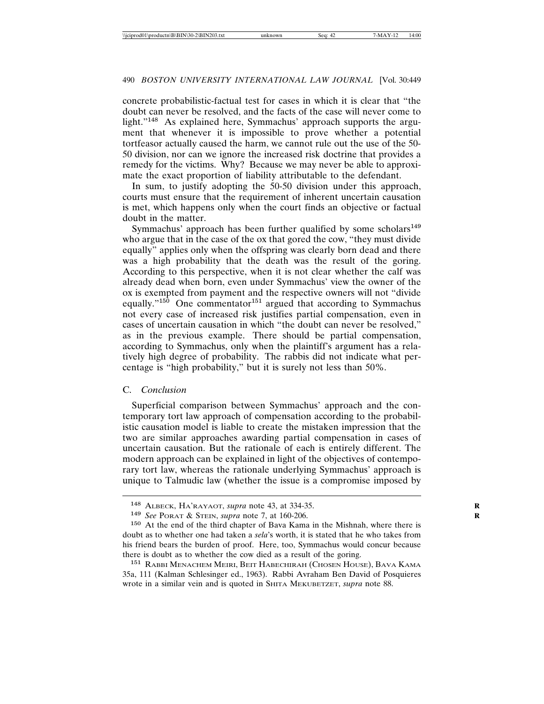concrete probabilistic-factual test for cases in which it is clear that "the doubt can never be resolved, and the facts of the case will never come to light."<sup>148</sup> As explained here, Symmachus' approach supports the argument that whenever it is impossible to prove whether a potential tortfeasor actually caused the harm, we cannot rule out the use of the 50- 50 division, nor can we ignore the increased risk doctrine that provides a remedy for the victims. Why? Because we may never be able to approximate the exact proportion of liability attributable to the defendant.

In sum, to justify adopting the 50-50 division under this approach, courts must ensure that the requirement of inherent uncertain causation is met, which happens only when the court finds an objective or factual doubt in the matter.

Symmachus' approach has been further qualified by some scholars<sup>149</sup> who argue that in the case of the ox that gored the cow, "they must divide equally" applies only when the offspring was clearly born dead and there was a high probability that the death was the result of the goring. According to this perspective, when it is not clear whether the calf was already dead when born, even under Symmachus' view the owner of the ox is exempted from payment and the respective owners will not "divide equally."<sup>150</sup> One commentator<sup>151</sup> argued that according to Symmachus not every case of increased risk justifies partial compensation, even in cases of uncertain causation in which "the doubt can never be resolved," as in the previous example. There should be partial compensation, according to Symmachus, only when the plaintiff's argument has a relatively high degree of probability. The rabbis did not indicate what percentage is "high probability," but it is surely not less than 50%.

### C. *Conclusion*

Superficial comparison between Symmachus' approach and the contemporary tort law approach of compensation according to the probabilistic causation model is liable to create the mistaken impression that the two are similar approaches awarding partial compensation in cases of uncertain causation. But the rationale of each is entirely different. The modern approach can be explained in light of the objectives of contemporary tort law, whereas the rationale underlying Symmachus' approach is unique to Talmudic law (whether the issue is a compromise imposed by

<sup>148</sup> ALBECK, HA'RAYAOT, *supra* note 43, at 334-35. **R**

<sup>149</sup> *See* PORAT & STEIN, *supra* note 7, at 160-206. **R**

<sup>150</sup> At the end of the third chapter of Bava Kama in the Mishnah, where there is doubt as to whether one had taken a *sela*'s worth, it is stated that he who takes from his friend bears the burden of proof. Here, too, Symmachus would concur because there is doubt as to whether the cow died as a result of the goring.

<sup>151</sup> RABBI MENACHEM MEIRI, BEIT HABECHIRAH (CHOSEN HOUSE), BAVA KAMA 35a, 111 (Kalman Schlesinger ed., 1963). Rabbi Avraham Ben David of Posquieres wrote in a similar vein and is quoted in SHITA MEKUBETZET, *supra* note 88.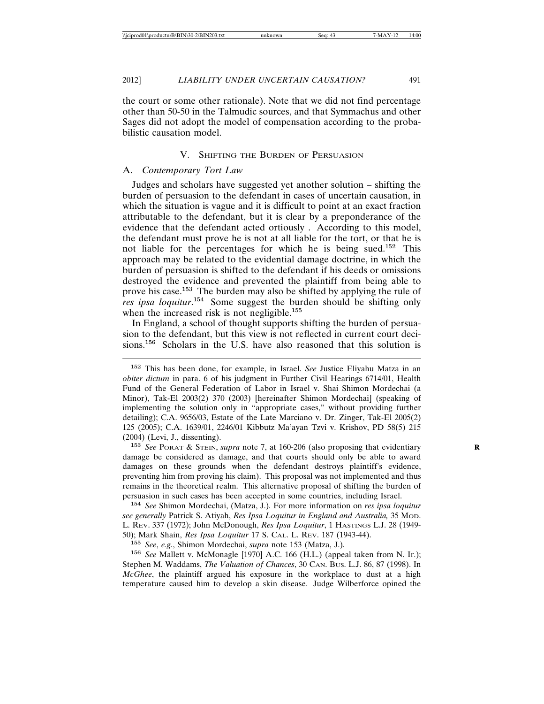the court or some other rationale). Note that we did not find percentage other than 50-50 in the Talmudic sources, and that Symmachus and other Sages did not adopt the model of compensation according to the probabilistic causation model.

### V. SHIFTING THE BURDEN OF PERSUASION

### A. *Contemporary Tort Law*

Judges and scholars have suggested yet another solution – shifting the burden of persuasion to the defendant in cases of uncertain causation, in which the situation is vague and it is difficult to point at an exact fraction attributable to the defendant, but it is clear by a preponderance of the evidence that the defendant acted ortiously . According to this model, the defendant must prove he is not at all liable for the tort, or that he is not liable for the percentages for which he is being sued.<sup>152</sup> This approach may be related to the evidential damage doctrine, in which the burden of persuasion is shifted to the defendant if his deeds or omissions destroyed the evidence and prevented the plaintiff from being able to prove his case.<sup>153</sup> The burden may also be shifted by applying the rule of *res ipsa loquitur*. <sup>154</sup> Some suggest the burden should be shifting only when the increased risk is not negligible.<sup>155</sup>

In England, a school of thought supports shifting the burden of persuasion to the defendant, but this view is not reflected in current court decisions.<sup>156</sup> Scholars in the U.S. have also reasoned that this solution is

<sup>153</sup> *See* PORAT & STEIN, *supra* note 7, at 160-206 (also proposing that evidentiary **R** damage be considered as damage, and that courts should only be able to award damages on these grounds when the defendant destroys plaintiff's evidence, preventing him from proving his claim). This proposal was not implemented and thus remains in the theoretical realm. This alternative proposal of shifting the burden of persuasion in such cases has been accepted in some countries, including Israel.

<sup>154</sup> *See* Shimon Mordechai, (Matza, J.)*.* For more information on *res ipsa loquitur see generally* Patrick S. Atiyah, *Res Ipsa Loquitur in England and Australia,* 35 MOD. L. REV. 337 (1972); John McDonough, *Res Ipsa Loquitur*, 1 HASTINGS L.J. 28 (1949- 50); Mark Shain, *Res Ipsa Loquitur* 17 S. CAL. L. REV. 187 (1943-44).

<sup>155</sup> *See*, *e.g.*, Shimon Mordechai, *supra* note 153 (Matza, J.)*.*

<sup>156</sup> *See* Mallett v. McMonagle [1970] A.C. 166 (H.L.) (appeal taken from N. Ir.); Stephen M. Waddams, *The Valuation of Chances*, 30 CAN. BUS. L.J. 86, 87 (1998). In *McGhee*, the plaintiff argued his exposure in the workplace to dust at a high temperature caused him to develop a skin disease. Judge Wilberforce opined the

<sup>152</sup> This has been done, for example, in Israel. *See* Justice Eliyahu Matza in an *obiter dictum* in para. 6 of his judgment in Further Civil Hearings 6714/01, Health Fund of the General Federation of Labor in Israel v. Shai Shimon Mordechai (a Minor), Tak-El 2003(2) 370 (2003) [hereinafter Shimon Mordechai] (speaking of implementing the solution only in "appropriate cases," without providing further detailing); C.A. 9656/03, Estate of the Late Marciano v. Dr. Zinger, Tak-El 2005(2) 125 (2005); C.A. 1639/01, 2246/01 Kibbutz Ma'ayan Tzvi v. Krishov, PD 58(5) 215 (2004) (Levi, J., dissenting).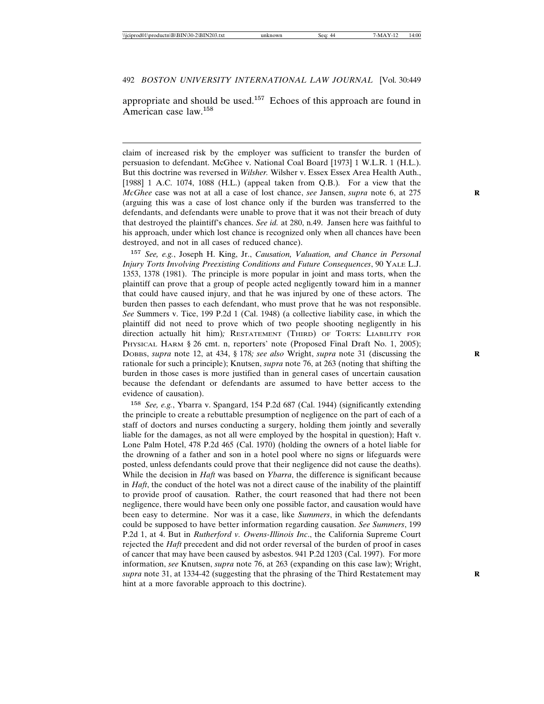appropriate and should be used.<sup>157</sup> Echoes of this approach are found in American case law.<sup>158</sup>

claim of increased risk by the employer was sufficient to transfer the burden of persuasion to defendant. McGhee v. National Coal Board [1973] 1 W.L.R. 1 (H.L.). But this doctrine was reversed in *Wilsher.* Wilsher v. Essex Essex Area Health Auth., [1988] 1 A.C. 1074, 1088 (H.L.) (appeal taken from Q.B.)*.* For a view that the *McGhee* case was not at all a case of lost chance, *see* Jansen, *supra* note 6, at 275 (arguing this was a case of lost chance only if the burden was transferred to the defendants, and defendants were unable to prove that it was not their breach of duty that destroyed the plaintiff's chances. *See id.* at 280, n.49. Jansen here was faithful to his approach, under which lost chance is recognized only when all chances have been destroyed, and not in all cases of reduced chance).

<sup>157</sup> *See, e.g.*, Joseph H. King, Jr., *Causation, Valuation, and Chance in Personal Injury Torts Involving Preexisting Conditions and Future Consequences*, 90 YALE L.J. 1353, 1378 (1981). The principle is more popular in joint and mass torts, when the plaintiff can prove that a group of people acted negligently toward him in a manner that could have caused injury, and that he was injured by one of these actors. The burden then passes to each defendant, who must prove that he was not responsible. *See* Summers v. Tice, 199 P.2d 1 (Cal. 1948) (a collective liability case, in which the plaintiff did not need to prove which of two people shooting negligently in his direction actually hit him)*;* RESTATEMENT (THIRD) OF TORTS: LIABILITY FOR PHYSICAL HARM § 26 cmt. n, reporters' note (Proposed Final Draft No. 1, 2005); DOBBS, *supra* note 12, at 434, § 178*; see also* Wright, *supra* note 31 (discussing the rationale for such a principle); Knutsen, *supra* note 76, at 263 (noting that shifting the burden in those cases is more justified than in general cases of uncertain causation because the defendant or defendants are assumed to have better access to the evidence of causation).

<sup>158</sup> *See, e.g.*, Ybarra v. Spangard, 154 P.2d 687 (Cal. 1944) (significantly extending the principle to create a rebuttable presumption of negligence on the part of each of a staff of doctors and nurses conducting a surgery, holding them jointly and severally liable for the damages, as not all were employed by the hospital in question); Haft v. Lone Palm Hotel, 478 P.2d 465 (Cal. 1970) (holding the owners of a hotel liable for the drowning of a father and son in a hotel pool where no signs or lifeguards were posted, unless defendants could prove that their negligence did not cause the deaths). While the decision in *Haft* was based on *Ybarra*, the difference is significant because in *Haft*, the conduct of the hotel was not a direct cause of the inability of the plaintiff to provide proof of causation. Rather, the court reasoned that had there not been negligence, there would have been only one possible factor, and causation would have been easy to determine. Nor was it a case, like *Summers*, in which the defendants could be supposed to have better information regarding causation. *See Summers*, 199 P.2d 1, at 4. But in *Rutherford v. Owens-Illinois Inc*., the California Supreme Court rejected the *Haft* precedent and did not order reversal of the burden of proof in cases of cancer that may have been caused by asbestos. 941 P.2d 1203 (Cal. 1997). For more information, *see* Knutsen, *supra* note 76, at 263 (expanding on this case law); Wright, *supra* note 31, at 1334-42 (suggesting that the phrasing of the Third Restatement may **R** hint at a more favorable approach to this doctrine).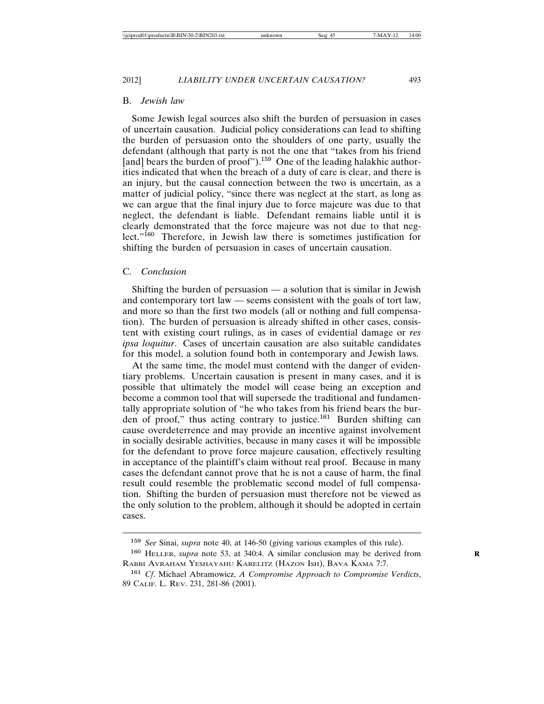2012] *LIABILITY UNDER UNCERTAIN CAUSATION?* 493

### B. *Jewish law*

Some Jewish legal sources also shift the burden of persuasion in cases of uncertain causation. Judicial policy considerations can lead to shifting the burden of persuasion onto the shoulders of one party, usually the defendant (although that party is not the one that "takes from his friend [and] bears the burden of proof").<sup>159</sup> One of the leading halakhic authorities indicated that when the breach of a duty of care is clear, and there is an injury, but the causal connection between the two is uncertain, as a matter of judicial policy, "since there was neglect at the start, as long as we can argue that the final injury due to force majeure was due to that neglect, the defendant is liable. Defendant remains liable until it is clearly demonstrated that the force majeure was not due to that neglect."<sup>160</sup> Therefore, in Jewish law there is sometimes justification for shifting the burden of persuasion in cases of uncertain causation.

#### C. *Conclusion*

Shifting the burden of persuasion — a solution that is similar in Jewish and contemporary tort law — seems consistent with the goals of tort law, and more so than the first two models (all or nothing and full compensation). The burden of persuasion is already shifted in other cases, consistent with existing court rulings, as in cases of evidential damage or *res ipsa loquitur*. Cases of uncertain causation are also suitable candidates for this model, a solution found both in contemporary and Jewish laws.

At the same time, the model must contend with the danger of evidentiary problems. Uncertain causation is present in many cases, and it is possible that ultimately the model will cease being an exception and become a common tool that will supersede the traditional and fundamentally appropriate solution of "he who takes from his friend bears the burden of proof," thus acting contrary to justice.<sup>161</sup> Burden shifting can cause overdeterrence and may provide an incentive against involvement in socially desirable activities, because in many cases it will be impossible for the defendant to prove force majeure causation, effectively resulting in acceptance of the plaintiff's claim without real proof. Because in many cases the defendant cannot prove that he is not a cause of harm, the final result could resemble the problematic second model of full compensation. Shifting the burden of persuasion must therefore not be viewed as the only solution to the problem, although it should be adopted in certain cases.

<sup>159</sup> *See* Sinai, *supra* note 40, at 146-50 (giving various examples of this rule).

<sup>&</sup>lt;sup>160</sup> HELLER, *supra* note 53, at 340:4. A similar conclusion may be derived from RABBI AVRAHAM YESHAYAHU KARELITZ (HAZON ISH), BAVA KAMA 7:7.

<sup>161</sup> *Cf*. Michael Abramowicz, *A Compromise Approach to Compromise Verdicts*, 89 CALIF. L. REV. 231, 281-86 (2001).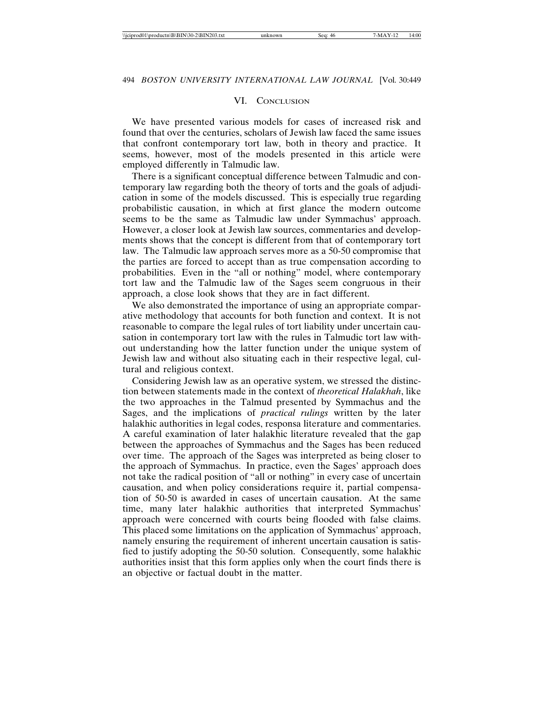## VI. CONCLUSION

We have presented various models for cases of increased risk and found that over the centuries, scholars of Jewish law faced the same issues that confront contemporary tort law, both in theory and practice. It seems, however, most of the models presented in this article were employed differently in Talmudic law.

There is a significant conceptual difference between Talmudic and contemporary law regarding both the theory of torts and the goals of adjudication in some of the models discussed. This is especially true regarding probabilistic causation, in which at first glance the modern outcome seems to be the same as Talmudic law under Symmachus' approach. However, a closer look at Jewish law sources, commentaries and developments shows that the concept is different from that of contemporary tort law. The Talmudic law approach serves more as a 50-50 compromise that the parties are forced to accept than as true compensation according to probabilities. Even in the "all or nothing" model, where contemporary tort law and the Talmudic law of the Sages seem congruous in their approach, a close look shows that they are in fact different.

We also demonstrated the importance of using an appropriate comparative methodology that accounts for both function and context. It is not reasonable to compare the legal rules of tort liability under uncertain causation in contemporary tort law with the rules in Talmudic tort law without understanding how the latter function under the unique system of Jewish law and without also situating each in their respective legal, cultural and religious context.

Considering Jewish law as an operative system, we stressed the distinction between statements made in the context of *theoretical Halakhah*, like the two approaches in the Talmud presented by Symmachus and the Sages, and the implications of *practical rulings* written by the later halakhic authorities in legal codes, responsa literature and commentaries. A careful examination of later halakhic literature revealed that the gap between the approaches of Symmachus and the Sages has been reduced over time. The approach of the Sages was interpreted as being closer to the approach of Symmachus. In practice, even the Sages' approach does not take the radical position of "all or nothing" in every case of uncertain causation, and when policy considerations require it, partial compensation of 50-50 is awarded in cases of uncertain causation. At the same time, many later halakhic authorities that interpreted Symmachus' approach were concerned with courts being flooded with false claims. This placed some limitations on the application of Symmachus' approach, namely ensuring the requirement of inherent uncertain causation is satisfied to justify adopting the 50-50 solution. Consequently, some halakhic authorities insist that this form applies only when the court finds there is an objective or factual doubt in the matter.